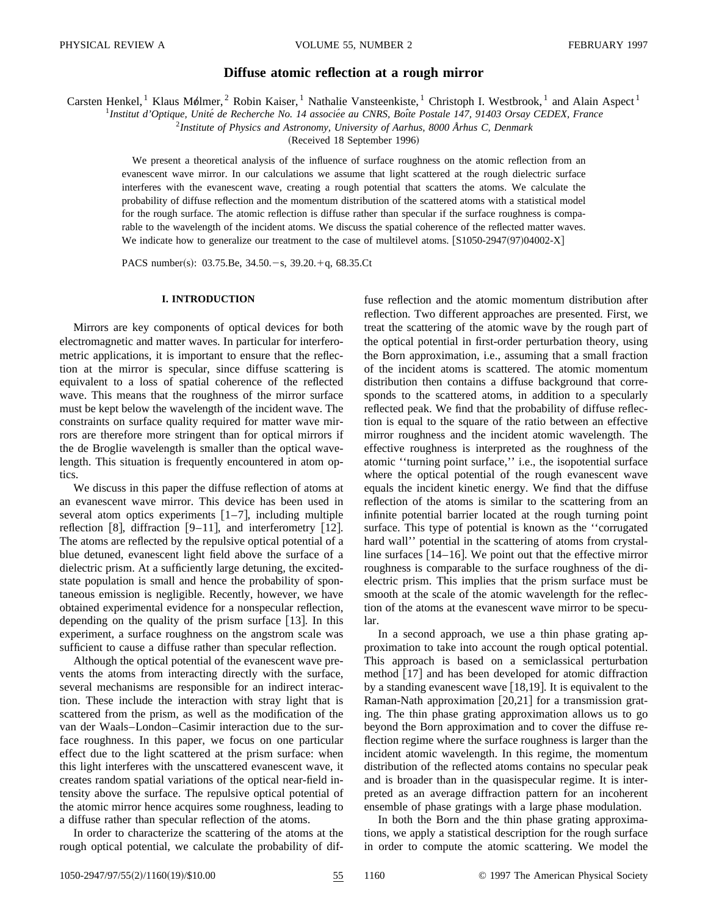# **Diffuse atomic reflection at a rough mirror**

Carsten Henkel, <sup>1</sup> Klaus Mølmer, <sup>2</sup> Robin Kaiser, <sup>1</sup> Nathalie Vansteenkiste, <sup>1</sup> Christoph I. Westbrook, <sup>1</sup> and Alain Aspect <sup>1</sup>

<sup>1</sup>Institut d'Optique, Unité de Recherche No. 14 associée au CNRS, Boîte Postale 147, 91403 Orsay CEDEX, France

<sup>2</sup>*Institute of Physics and Astronomy, University of Aarhus, 8000 Århus C, Denmark*

(Received 18 September 1996)

We present a theoretical analysis of the influence of surface roughness on the atomic reflection from an evanescent wave mirror. In our calculations we assume that light scattered at the rough dielectric surface interferes with the evanescent wave, creating a rough potential that scatters the atoms. We calculate the probability of diffuse reflection and the momentum distribution of the scattered atoms with a statistical model for the rough surface. The atomic reflection is diffuse rather than specular if the surface roughness is comparable to the wavelength of the incident atoms. We discuss the spatial coherence of the reflected matter waves. We indicate how to generalize our treatment to the case of multilevel atoms.  $[S1050-2947(97)04002-X]$ 

PACS number(s): 03.75.Be,  $34.50.-s$ ,  $39.20.+q$ , 68.35.Ct

# **I. INTRODUCTION**

Mirrors are key components of optical devices for both electromagnetic and matter waves. In particular for interferometric applications, it is important to ensure that the reflection at the mirror is specular, since diffuse scattering is equivalent to a loss of spatial coherence of the reflected wave. This means that the roughness of the mirror surface must be kept below the wavelength of the incident wave. The constraints on surface quality required for matter wave mirrors are therefore more stringent than for optical mirrors if the de Broglie wavelength is smaller than the optical wavelength. This situation is frequently encountered in atom optics.

We discuss in this paper the diffuse reflection of atoms at an evanescent wave mirror. This device has been used in several atom optics experiments  $[1-7]$ , including multiple reflection [8], diffraction [9–11], and interferometry [12]. The atoms are reflected by the repulsive optical potential of a blue detuned, evanescent light field above the surface of a dielectric prism. At a sufficiently large detuning, the excitedstate population is small and hence the probability of spontaneous emission is negligible. Recently, however, we have obtained experimental evidence for a nonspecular reflection, depending on the quality of the prism surface  $[13]$ . In this experiment, a surface roughness on the angstrom scale was sufficient to cause a diffuse rather than specular reflection.

Although the optical potential of the evanescent wave prevents the atoms from interacting directly with the surface, several mechanisms are responsible for an indirect interaction. These include the interaction with stray light that is scattered from the prism, as well as the modification of the van der Waals–London–Casimir interaction due to the surface roughness. In this paper, we focus on one particular effect due to the light scattered at the prism surface: when this light interferes with the unscattered evanescent wave, it creates random spatial variations of the optical near-field intensity above the surface. The repulsive optical potential of the atomic mirror hence acquires some roughness, leading to a diffuse rather than specular reflection of the atoms.

In order to characterize the scattering of the atoms at the rough optical potential, we calculate the probability of diffuse reflection and the atomic momentum distribution after reflection. Two different approaches are presented. First, we treat the scattering of the atomic wave by the rough part of the optical potential in first-order perturbation theory, using the Born approximation, i.e., assuming that a small fraction of the incident atoms is scattered. The atomic momentum distribution then contains a diffuse background that corresponds to the scattered atoms, in addition to a specularly reflected peak. We find that the probability of diffuse reflection is equal to the square of the ratio between an effective mirror roughness and the incident atomic wavelength. The effective roughness is interpreted as the roughness of the atomic ''turning point surface,'' i.e., the isopotential surface where the optical potential of the rough evanescent wave equals the incident kinetic energy. We find that the diffuse reflection of the atoms is similar to the scattering from an infinite potential barrier located at the rough turning point surface. This type of potential is known as the ''corrugated hard wall'' potential in the scattering of atoms from crystalline surfaces  $|14-16|$ . We point out that the effective mirror roughness is comparable to the surface roughness of the dielectric prism. This implies that the prism surface must be smooth at the scale of the atomic wavelength for the reflection of the atoms at the evanescent wave mirror to be specular.

In a second approach, we use a thin phase grating approximation to take into account the rough optical potential. This approach is based on a semiclassical perturbation method  $\lceil 17 \rceil$  and has been developed for atomic diffraction by a standing evanescent wave  $[18,19]$ . It is equivalent to the Raman-Nath approximation  $[20,21]$  for a transmission grating. The thin phase grating approximation allows us to go beyond the Born approximation and to cover the diffuse reflection regime where the surface roughness is larger than the incident atomic wavelength. In this regime, the momentum distribution of the reflected atoms contains no specular peak and is broader than in the quasispecular regime. It is interpreted as an average diffraction pattern for an incoherent ensemble of phase gratings with a large phase modulation.

In both the Born and the thin phase grating approximations, we apply a statistical description for the rough surface in order to compute the atomic scattering. We model the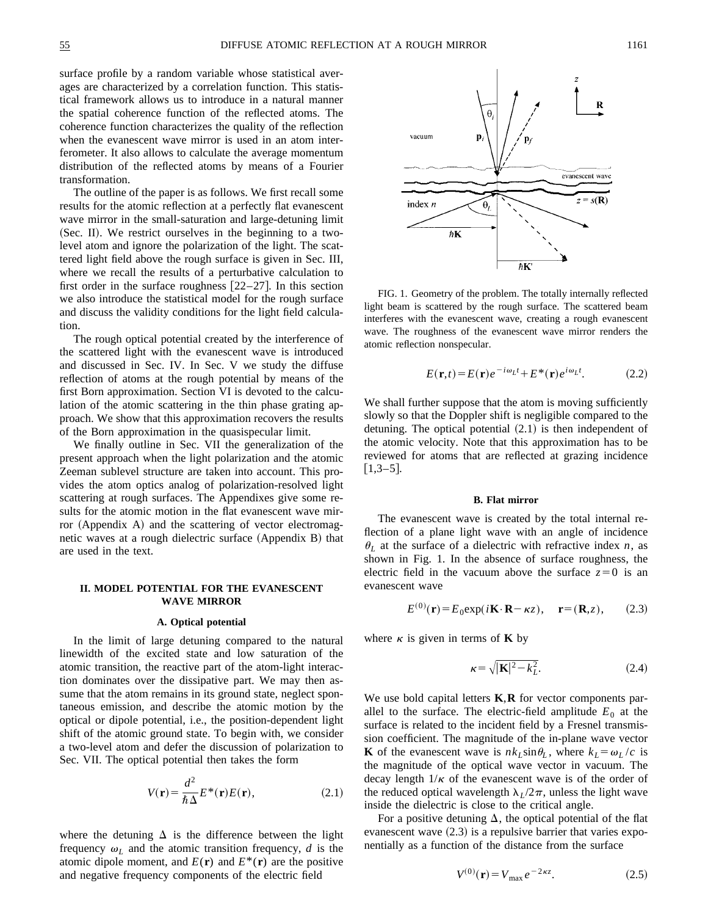surface profile by a random variable whose statistical averages are characterized by a correlation function. This statistical framework allows us to introduce in a natural manner the spatial coherence function of the reflected atoms. The coherence function characterizes the quality of the reflection when the evanescent wave mirror is used in an atom interferometer. It also allows to calculate the average momentum distribution of the reflected atoms by means of a Fourier transformation.

The outline of the paper is as follows. We first recall some results for the atomic reflection at a perfectly flat evanescent wave mirror in the small-saturation and large-detuning limit  $(Sec. II)$ . We restrict ourselves in the beginning to a twolevel atom and ignore the polarization of the light. The scattered light field above the rough surface is given in Sec. III, where we recall the results of a perturbative calculation to first order in the surface roughness  $[22-27]$ . In this section we also introduce the statistical model for the rough surface and discuss the validity conditions for the light field calculation.

The rough optical potential created by the interference of the scattered light with the evanescent wave is introduced and discussed in Sec. IV. In Sec. V we study the diffuse reflection of atoms at the rough potential by means of the first Born approximation. Section VI is devoted to the calculation of the atomic scattering in the thin phase grating approach. We show that this approximation recovers the results of the Born approximation in the quasispecular limit.

We finally outline in Sec. VII the generalization of the present approach when the light polarization and the atomic Zeeman sublevel structure are taken into account. This provides the atom optics analog of polarization-resolved light scattering at rough surfaces. The Appendixes give some results for the atomic motion in the flat evanescent wave mirror  $(A$ ppendix  $A)$  and the scattering of vector electromagnetic waves at a rough dielectric surface (Appendix B) that are used in the text.

# **II. MODEL POTENTIAL FOR THE EVANESCENT WAVE MIRROR**

#### **A. Optical potential**

In the limit of large detuning compared to the natural linewidth of the excited state and low saturation of the atomic transition, the reactive part of the atom-light interaction dominates over the dissipative part. We may then assume that the atom remains in its ground state, neglect spontaneous emission, and describe the atomic motion by the optical or dipole potential, i.e., the position-dependent light shift of the atomic ground state. To begin with, we consider a two-level atom and defer the discussion of polarization to Sec. VII. The optical potential then takes the form

$$
V(\mathbf{r}) = \frac{d^2}{\hbar \Delta} E^*(\mathbf{r}) E(\mathbf{r}),
$$
\n(2.1)

where the detuning  $\Delta$  is the difference between the light frequency  $\omega_L$  and the atomic transition frequency, *d* is the atomic dipole moment, and  $E(\mathbf{r})$  and  $E^*(\mathbf{r})$  are the positive and negative frequency components of the electric field



FIG. 1. Geometry of the problem. The totally internally reflected light beam is scattered by the rough surface. The scattered beam interferes with the evanescent wave, creating a rough evanescent wave. The roughness of the evanescent wave mirror renders the atomic reflection nonspecular.

$$
E(\mathbf{r},t) = E(\mathbf{r})e^{-i\omega_L t} + E^*(\mathbf{r})e^{i\omega_L t}.
$$
 (2.2)

We shall further suppose that the atom is moving sufficiently slowly so that the Doppler shift is negligible compared to the detuning. The optical potential  $(2.1)$  is then independent of the atomic velocity. Note that this approximation has to be reviewed for atoms that are reflected at grazing incidence  $\lfloor 1, 3-5 \rfloor$ .

### **B. Flat mirror**

The evanescent wave is created by the total internal reflection of a plane light wave with an angle of incidence  $\theta_L$  at the surface of a dielectric with refractive index *n*, as shown in Fig. 1. In the absence of surface roughness, the electric field in the vacuum above the surface  $z=0$  is an evanescent wave

$$
E^{(0)}(\mathbf{r}) = E_0 \exp(i\mathbf{K} \cdot \mathbf{R} - \kappa z), \quad \mathbf{r} = (\mathbf{R}, z), \quad (2.3)
$$

where  $\kappa$  is given in terms of **K** by

$$
\kappa = \sqrt{|\mathbf{K}|^2 - k_L^2}.\tag{2.4}
$$

We use bold capital letters **K**,**R** for vector components parallel to the surface. The electric-field amplitude  $E_0$  at the surface is related to the incident field by a Fresnel transmission coefficient. The magnitude of the in-plane wave vector **K** of the evanescent wave is  $nk_L \sin \theta_L$ , where  $k_L = \omega_L / c$  is the magnitude of the optical wave vector in vacuum. The decay length  $1/\kappa$  of the evanescent wave is of the order of the reduced optical wavelength  $\lambda_L/2\pi$ , unless the light wave inside the dielectric is close to the critical angle.

For a positive detuning  $\Delta$ , the optical potential of the flat evanescent wave  $(2.3)$  is a repulsive barrier that varies exponentially as a function of the distance from the surface

$$
V^{(0)}(\mathbf{r}) = V_{\text{max}} e^{-2\kappa z}.
$$
 (2.5)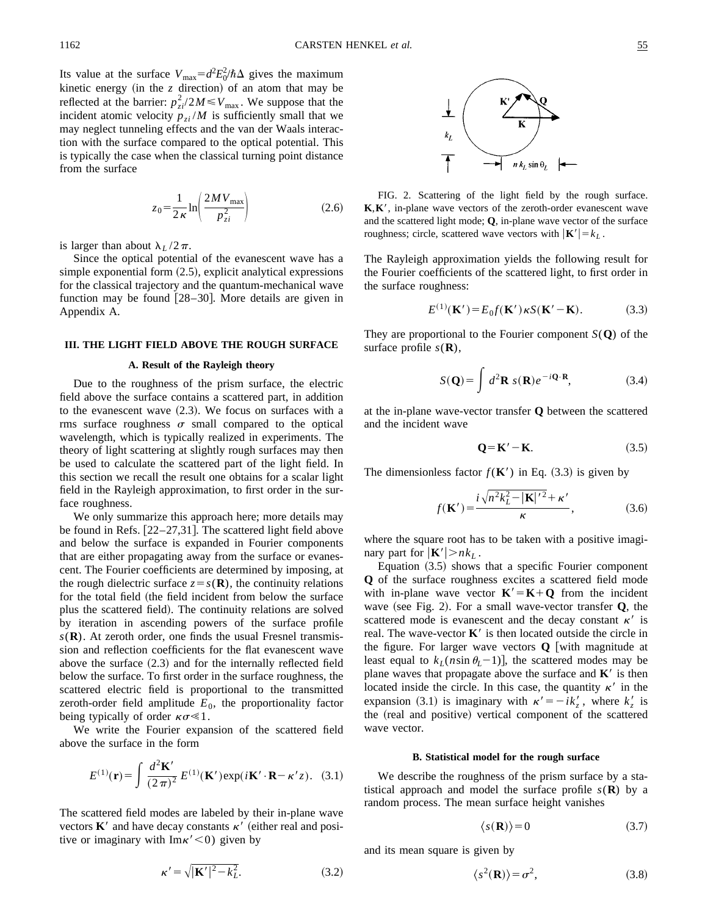Its value at the surface  $V_{\text{max}} = d^2 E_0^2 / \hbar \Delta$  gives the maximum kinetic energy (in the  $z$  direction) of an atom that may be reflected at the barrier:  $p_{zi}^2/2M \le V_{\text{max}}$ . We suppose that the incident atomic velocity  $p_{zi}/M$  is sufficiently small that we may neglect tunneling effects and the van der Waals interaction with the surface compared to the optical potential. This is typically the case when the classical turning point distance from the surface

$$
z_0 = \frac{1}{2\,\kappa} \ln\left(\frac{2MV_{\text{max}}}{p_{zi}^2}\right) \tag{2.6}
$$

is larger than about  $\lambda_L / 2\pi$ .

Since the optical potential of the evanescent wave has a simple exponential form  $(2.5)$ , explicit analytical expressions for the classical trajectory and the quantum-mechanical wave function may be found  $[28–30]$ . More details are given in Appendix A.

## **III. THE LIGHT FIELD ABOVE THE ROUGH SURFACE**

#### **A. Result of the Rayleigh theory**

Due to the roughness of the prism surface, the electric field above the surface contains a scattered part, in addition to the evanescent wave  $(2.3)$ . We focus on surfaces with a rms surface roughness  $\sigma$  small compared to the optical wavelength, which is typically realized in experiments. The theory of light scattering at slightly rough surfaces may then be used to calculate the scattered part of the light field. In this section we recall the result one obtains for a scalar light field in the Rayleigh approximation, to first order in the surface roughness.

We only summarize this approach here; more details may be found in Refs.  $[22-27,31]$ . The scattered light field above and below the surface is expanded in Fourier components that are either propagating away from the surface or evanescent. The Fourier coefficients are determined by imposing, at the rough dielectric surface  $z = s(\mathbf{R})$ , the continuity relations for the total field (the field incident from below the surface plus the scattered field). The continuity relations are solved by iteration in ascending powers of the surface profile  $s(\mathbf{R})$ . At zeroth order, one finds the usual Fresnel transmission and reflection coefficients for the flat evanescent wave above the surface  $(2.3)$  and for the internally reflected field below the surface. To first order in the surface roughness, the scattered electric field is proportional to the transmitted zeroth-order field amplitude  $E_0$ , the proportionality factor being typically of order  $\kappa \sigma \ll 1$ .

We write the Fourier expansion of the scattered field above the surface in the form

$$
E^{(1)}(\mathbf{r}) = \int \frac{d^2 \mathbf{K}'}{(2\pi)^2} E^{(1)}(\mathbf{K}') \exp(i\mathbf{K}' \cdot \mathbf{R} - \kappa' z). \tag{3.1}
$$

The scattered field modes are labeled by their in-plane wave vectors  $\mathbf{K}'$  and have decay constants  $\kappa'$  (either real and positive or imaginary with  $\text{Im}\kappa' < 0$ ) given by

$$
\kappa' = \sqrt{|\mathbf{K}'|^{2} - k_{L}^{2}}.
$$
 (3.2)



FIG. 2. Scattering of the light field by the rough surface. K, K', in-plane wave vectors of the zeroth-order evanescent wave and the scattered light mode; **Q**, in-plane wave vector of the surface roughness; circle, scattered wave vectors with  $|\mathbf{K}'| = k_L$ .

The Rayleigh approximation yields the following result for the Fourier coefficients of the scattered light, to first order in the surface roughness:

$$
E^{(1)}(\mathbf{K}') = E_0 f(\mathbf{K}') \kappa S(\mathbf{K}' - \mathbf{K}).
$$
 (3.3)

They are proportional to the Fourier component  $S(Q)$  of the surface profile *s*(**R**),

$$
S(\mathbf{Q}) = \int d^2 \mathbf{R} \ s(\mathbf{R}) e^{-i\mathbf{Q} \cdot \mathbf{R}}, \tag{3.4}
$$

at the in-plane wave-vector transfer **Q** between the scattered and the incident wave

$$
\mathbf{Q} = \mathbf{K}' - \mathbf{K}.\tag{3.5}
$$

The dimensionless factor  $f(K')$  in Eq. (3.3) is given by

$$
f(\mathbf{K}') = \frac{i\sqrt{n^2k_L^2 - |\mathbf{K}|'^2} + \kappa'}{\kappa},\tag{3.6}
$$

where the square root has to be taken with a positive imaginary part for  $|\mathbf{K}'| > nk_L$ .

Equation  $(3.5)$  shows that a specific Fourier component **Q** of the surface roughness excites a scattered field mode with in-plane wave vector  $\mathbf{K}' = \mathbf{K} + \mathbf{Q}$  from the incident wave (see Fig. 2). For a small wave-vector transfer  $Q$ , the scattered mode is evanescent and the decay constant  $\kappa'$  is real. The wave-vector  $K'$  is then located outside the circle in the figure. For larger wave vectors  $Q$  [with magnitude at least equal to  $k_L(n\sin\theta_L-1)$ , the scattered modes may be plane waves that propagate above the surface and  $K'$  is then located inside the circle. In this case, the quantity  $\kappa'$  in the expansion (3.1) is imaginary with  $\kappa' = -ik'_z$ , where  $k'_z$  is the (real and positive) vertical component of the scattered wave vector.

### **B. Statistical model for the rough surface**

We describe the roughness of the prism surface by a statistical approach and model the surface profile  $s(\mathbf{R})$  by a random process. The mean surface height vanishes

$$
\langle s(\mathbf{R}) \rangle = 0 \tag{3.7}
$$

and its mean square is given by

$$
\langle s^2(\mathbf{R})\rangle = \sigma^2,\tag{3.8}
$$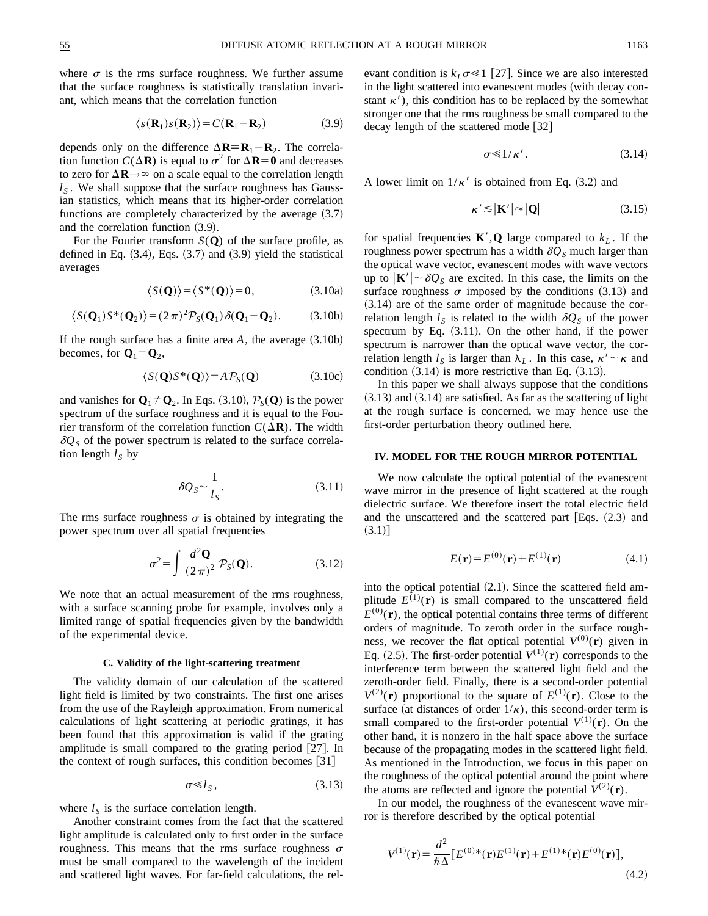where  $\sigma$  is the rms surface roughness. We further assume that the surface roughness is statistically translation invariant, which means that the correlation function

$$
\langle s(\mathbf{R}_1)s(\mathbf{R}_2)\rangle = C(\mathbf{R}_1 - \mathbf{R}_2)
$$
 (3.9)

depends only on the difference  $\Delta \mathbf{R} = \mathbf{R}_1 - \mathbf{R}_2$ . The correlation function  $C(\Delta \mathbf{R})$  is equal to  $\sigma^2$  for  $\Delta \mathbf{R} = \mathbf{0}$  and decreases to zero for  $\Delta \mathbf{R} \rightarrow \infty$  on a scale equal to the correlation length  $l<sub>S</sub>$ . We shall suppose that the surface roughness has Gaussian statistics, which means that its higher-order correlation functions are completely characterized by the average  $(3.7)$ and the correlation function  $(3.9)$ .

For the Fourier transform *S*(**Q**) of the surface profile, as defined in Eq.  $(3.4)$ , Eqs.  $(3.7)$  and  $(3.9)$  yield the statistical averages

$$
\langle S(\mathbf{Q}) \rangle = \langle S^*(\mathbf{Q}) \rangle = 0, \tag{3.10a}
$$

$$
\langle S(\mathbf{Q}_1) S^*(\mathbf{Q}_2) \rangle = (2\pi)^2 \mathcal{P}_S(\mathbf{Q}_1) \delta(\mathbf{Q}_1 - \mathbf{Q}_2). \tag{3.10b}
$$

If the rough surface has a finite area  $A$ , the average  $(3.10b)$ becomes, for  $\mathbf{Q}_1 = \mathbf{Q}_2$ ,

$$
\langle S(\mathbf{Q})S^*(\mathbf{Q})\rangle = A\mathcal{P}_S(\mathbf{Q})\tag{3.10c}
$$

and vanishes for  $\mathbf{Q}_1 \neq \mathbf{Q}_2$ . In Eqs. (3.10),  $\mathcal{P}_S(\mathbf{Q})$  is the power spectrum of the surface roughness and it is equal to the Fourier transform of the correlation function  $C(\Delta \mathbf{R})$ . The width  $\delta Q_S$  of the power spectrum is related to the surface correlation length  $l_s$  by

$$
\delta Q_S \sim \frac{1}{l_S}.\tag{3.11}
$$

The rms surface roughness  $\sigma$  is obtained by integrating the power spectrum over all spatial frequencies

$$
\sigma^2 = \int \frac{d^2 \mathbf{Q}}{(2\pi)^2} \mathcal{P}_S(\mathbf{Q}). \tag{3.12}
$$

We note that an actual measurement of the rms roughness, with a surface scanning probe for example, involves only a limited range of spatial frequencies given by the bandwidth of the experimental device.

#### **C. Validity of the light-scattering treatment**

The validity domain of our calculation of the scattered light field is limited by two constraints. The first one arises from the use of the Rayleigh approximation. From numerical calculations of light scattering at periodic gratings, it has been found that this approximation is valid if the grating amplitude is small compared to the grating period  $[27]$ . In the context of rough surfaces, this condition becomes  $[31]$ 

$$
\sigma \ll l_S, \tag{3.13}
$$

where  $l<sub>S</sub>$  is the surface correlation length.

Another constraint comes from the fact that the scattered light amplitude is calculated only to first order in the surface roughness. This means that the rms surface roughness  $\sigma$ must be small compared to the wavelength of the incident and scattered light waves. For far-field calculations, the relevant condition is  $k_L \sigma \ll 1$  [27]. Since we are also interested in the light scattered into evanescent modes (with decay constant  $\kappa'$ ), this condition has to be replaced by the somewhat stronger one that the rms roughness be small compared to the decay length of the scattered mode  $[32]$ 

$$
\sigma \ll 1/\kappa'. \tag{3.14}
$$

A lower limit on  $1/\kappa'$  is obtained from Eq. (3.2) and

$$
\kappa' \lesssim |\mathbf{K}'| \approx |\mathbf{Q}| \tag{3.15}
$$

for spatial frequencies  $\mathbf{K}', \mathbf{Q}$  large compared to  $k_L$ . If the roughness power spectrum has a width  $\delta Q_S$  much larger than the optical wave vector, evanescent modes with wave vectors up to  $|\mathbf{K}'| \sim \delta Q_S$  are excited. In this case, the limits on the surface roughness  $\sigma$  imposed by the conditions (3.13) and  $(3.14)$  are of the same order of magnitude because the correlation length  $l<sub>S</sub>$  is related to the width  $\delta Q<sub>S</sub>$  of the power spectrum by Eq.  $(3.11)$ . On the other hand, if the power spectrum is narrower than the optical wave vector, the correlation length  $l_S$  is larger than  $\lambda_L$ . In this case,  $\kappa' \sim \kappa$  and condition  $(3.14)$  is more restrictive than Eq.  $(3.13)$ .

In this paper we shall always suppose that the conditions  $(3.13)$  and  $(3.14)$  are satisfied. As far as the scattering of light at the rough surface is concerned, we may hence use the first-order perturbation theory outlined here.

## **IV. MODEL FOR THE ROUGH MIRROR POTENTIAL**

We now calculate the optical potential of the evanescent wave mirror in the presence of light scattered at the rough dielectric surface. We therefore insert the total electric field and the unscattered and the scattered part [Eqs.  $(2.3)$  and  $(3.1)$ 

$$
E(\mathbf{r}) = E^{(0)}(\mathbf{r}) + E^{(1)}(\mathbf{r})
$$
\n(4.1)

into the optical potential  $(2.1)$ . Since the scattered field amplitude  $E^{(1)}(\mathbf{r})$  is small compared to the unscattered field  $E^{(0)}(\mathbf{r})$ , the optical potential contains three terms of different orders of magnitude. To zeroth order in the surface roughness, we recover the flat optical potential  $V^{(0)}(\mathbf{r})$  given in Eq. (2.5). The first-order potential  $V^{(1)}(\mathbf{r})$  corresponds to the interference term between the scattered light field and the zeroth-order field. Finally, there is a second-order potential  $V^{(2)}(\mathbf{r})$  proportional to the square of  $E^{(1)}(\mathbf{r})$ . Close to the surface (at distances of order  $1/\kappa$ ), this second-order term is small compared to the first-order potential  $V^{(1)}(\mathbf{r})$ . On the other hand, it is nonzero in the half space above the surface because of the propagating modes in the scattered light field. As mentioned in the Introduction, we focus in this paper on the roughness of the optical potential around the point where the atoms are reflected and ignore the potential  $V^{(2)}(\mathbf{r})$ .

In our model, the roughness of the evanescent wave mirror is therefore described by the optical potential

$$
V^{(1)}(\mathbf{r}) = \frac{d^2}{\hbar \Delta} [E^{(0)*}(\mathbf{r}) E^{(1)}(\mathbf{r}) + E^{(1)*}(\mathbf{r}) E^{(0)}(\mathbf{r})],
$$
\n(4.2)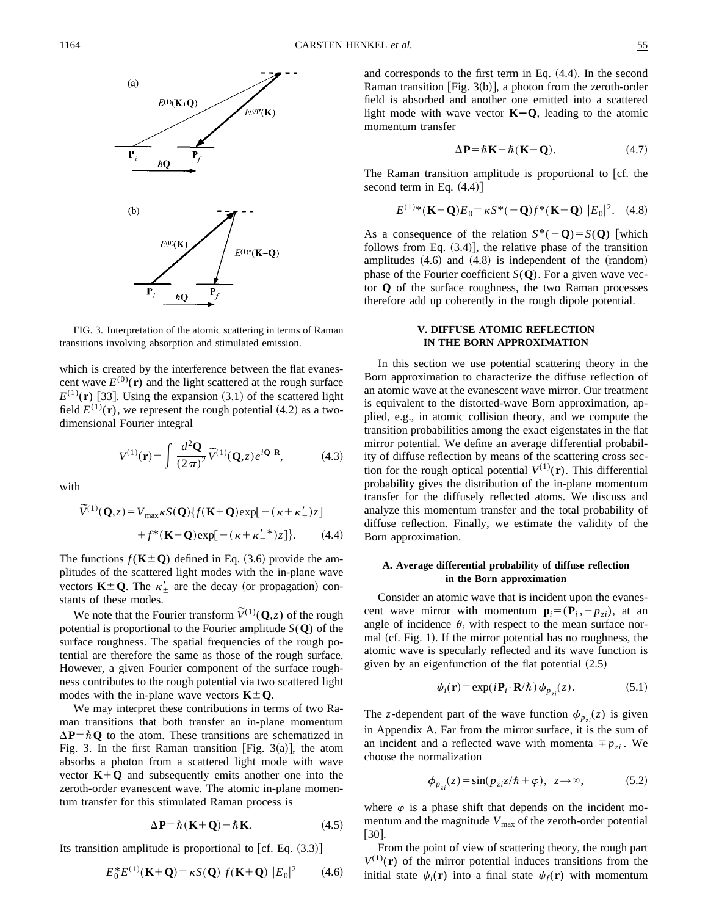

FIG. 3. Interpretation of the atomic scattering in terms of Raman transitions involving absorption and stimulated emission.

which is created by the interference between the flat evanescent wave  $E^{(0)}(\mathbf{r})$  and the light scattered at the rough surface  $E^{(1)}(\mathbf{r})$  [33]. Using the expansion (3.1) of the scattered light field  $E^{(1)}(\mathbf{r})$ , we represent the rough potential (4.2) as a twodimensional Fourier integral

$$
V^{(1)}(\mathbf{r}) = \int \frac{d^2 \mathbf{Q}}{(2\pi)^2} \widetilde{V}^{(1)}(\mathbf{Q}, z) e^{i\mathbf{Q} \cdot \mathbf{R}},
$$
(4.3)

with

$$
\widetilde{V}^{(1)}(\mathbf{Q}, z) = V_{\text{max}} \kappa S(\mathbf{Q}) \{ f(\mathbf{K} + \mathbf{Q}) \exp[-(\kappa + \kappa'_{+}) z] + f^*(\mathbf{K} - \mathbf{Q}) \exp[-(\kappa + \kappa'_{-}) z] \}.
$$
 (4.4)

The functions  $f(\mathbf{K} \pm \mathbf{Q})$  defined in Eq. (3.6) provide the amplitudes of the scattered light modes with the in-plane wave vectors  $K \pm Q$ . The  $\kappa'_{\pm}$  are the decay (or propagation) constants of these modes.

nts of these modes.<br>We note that the Fourier transform  $\widetilde{V}^{(1)}(\mathbf{Q},z)$  of the rough potential is proportional to the Fourier amplitude  $S(Q)$  of the surface roughness. The spatial frequencies of the rough potential are therefore the same as those of the rough surface. However, a given Fourier component of the surface roughness contributes to the rough potential via two scattered light modes with the in-plane wave vectors  $K \pm Q$ .

We may interpret these contributions in terms of two Raman transitions that both transfer an in-plane momentum  $\Delta P = \hbar Q$  to the atom. These transitions are schematized in Fig. 3. In the first Raman transition [Fig. 3(a)], the atom absorbs a photon from a scattered light mode with wave vector  $K+Q$  and subsequently emits another one into the zeroth-order evanescent wave. The atomic in-plane momentum transfer for this stimulated Raman process is

$$
\Delta \mathbf{P} = \hbar (\mathbf{K} + \mathbf{Q}) - \hbar \mathbf{K}.
$$
 (4.5)

Its transition amplitude is proportional to  $[cf. Eq. (3.3)]$ 

$$
E_0^* E^{(1)}(\mathbf{K} + \mathbf{Q}) = \kappa S(\mathbf{Q}) f(\mathbf{K} + \mathbf{Q}) |E_0|^2
$$
 (4.6)

and corresponds to the first term in Eq.  $(4.4)$ . In the second Raman transition [Fig.  $3(b)$ ], a photon from the zeroth-order field is absorbed and another one emitted into a scattered light mode with wave vector  $K-Q$ , leading to the atomic momentum transfer

$$
\Delta \mathbf{P} = \hbar \mathbf{K} - \hbar (\mathbf{K} - \mathbf{Q}). \tag{4.7}
$$

The Raman transition amplitude is proportional to  $\int_{c}^{c}$  the second term in Eq.  $(4.4)$ ]

$$
E^{(1)*}(\mathbf{K} - \mathbf{Q})E_0 = \kappa S^*(-\mathbf{Q})f^*(\mathbf{K} - \mathbf{Q}) |E_0|^2.
$$
 (4.8)

As a consequence of the relation  $S^*(-\mathbf{Q}) = S(\mathbf{Q})$  [which follows from Eq.  $(3.4)$ , the relative phase of the transition amplitudes  $(4.6)$  and  $(4.8)$  is independent of the  $(random)$ phase of the Fourier coefficient  $S(Q)$ . For a given wave vector **Q** of the surface roughness, the two Raman processes therefore add up coherently in the rough dipole potential.

# **V. DIFFUSE ATOMIC REFLECTION IN THE BORN APPROXIMATION**

In this section we use potential scattering theory in the Born approximation to characterize the diffuse reflection of an atomic wave at the evanescent wave mirror. Our treatment is equivalent to the distorted-wave Born approximation, applied, e.g., in atomic collision theory, and we compute the transition probabilities among the exact eigenstates in the flat mirror potential. We define an average differential probability of diffuse reflection by means of the scattering cross section for the rough optical potential  $V^{(1)}(\mathbf{r})$ . This differential probability gives the distribution of the in-plane momentum transfer for the diffusely reflected atoms. We discuss and analyze this momentum transfer and the total probability of diffuse reflection. Finally, we estimate the validity of the Born approximation.

# **A. Average differential probability of diffuse reflection in the Born approximation**

Consider an atomic wave that is incident upon the evanescent wave mirror with momentum  $\mathbf{p}_i = (\mathbf{P}_i, -p_{zi})$ , at an angle of incidence  $\theta_i$  with respect to the mean surface normal  $(cf. Fig. 1)$ . If the mirror potential has no roughness, the atomic wave is specularly reflected and its wave function is given by an eigenfunction of the flat potential  $(2.5)$ 

$$
\psi_i(\mathbf{r}) = \exp(i\mathbf{P}_i \cdot \mathbf{R}/\hbar) \phi_{p_{zi}}(z). \tag{5.1}
$$

The *z*-dependent part of the wave function  $\phi_{p_{zi}}(z)$  is given in Appendix A. Far from the mirror surface, it is the sum of an incident and a reflected wave with momenta  $\overline{p}_{zi}$ . We choose the normalization

$$
\phi_{p_{zi}}(z) = \sin(p_{zi}z/\hbar + \varphi), \ z \to \infty,
$$
\n(5.2)

where  $\varphi$  is a phase shift that depends on the incident momentum and the magnitude  $V_{\text{max}}$  of the zeroth-order potential  $[30]$ .

From the point of view of scattering theory, the rough part  $V^{(1)}(\mathbf{r})$  of the mirror potential induces transitions from the initial state  $\psi_i(\mathbf{r})$  into a final state  $\psi_f(\mathbf{r})$  with momentum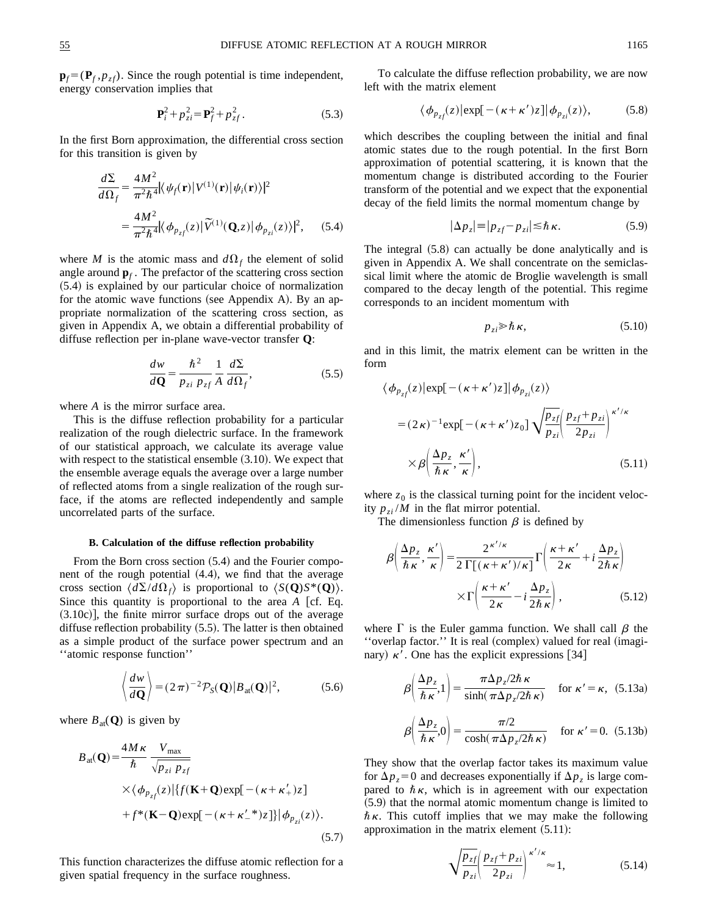$$
\mathbf{P}_i^2 + p_{zi}^2 = \mathbf{P}_f^2 + p_{zf}^2.
$$
 (5.3)

In the first Born approximation, the differential cross section for this transition is given by

$$
\frac{d\Sigma}{d\Omega_f} = \frac{4M^2}{\pi^2\hbar^4} |\langle \psi_f(\mathbf{r}) | V^{(1)}(\mathbf{r}) | \psi_i(\mathbf{r}) \rangle|^2
$$
  
= 
$$
\frac{4M^2}{\pi^2\hbar^4} |\langle \phi_{p_{zf}}(z) | \widetilde{V}^{(1)}(\mathbf{Q}, z) | \phi_{p_{zi}}(z) \rangle|^2, \qquad (5.4)
$$

where *M* is the atomic mass and  $d\Omega_f$  the element of solid angle around  $\mathbf{p}_f$ . The prefactor of the scattering cross section  $(5.4)$  is explained by our particular choice of normalization for the atomic wave functions (see Appendix A). By an appropriate normalization of the scattering cross section, as given in Appendix A, we obtain a differential probability of diffuse reflection per in-plane wave-vector transfer **Q**:

$$
\frac{dw}{d\mathbf{Q}} = \frac{\hbar^2}{p_{zi} p_{zf}} \frac{1}{A} \frac{d\Sigma}{d\Omega_f},
$$
\n(5.5)

where *A* is the mirror surface area.

This is the diffuse reflection probability for a particular realization of the rough dielectric surface. In the framework of our statistical approach, we calculate its average value with respect to the statistical ensemble  $(3.10)$ . We expect that the ensemble average equals the average over a large number of reflected atoms from a single realization of the rough surface, if the atoms are reflected independently and sample uncorrelated parts of the surface.

#### **B. Calculation of the diffuse reflection probability**

From the Born cross section  $(5.4)$  and the Fourier component of the rough potential  $(4.4)$ , we find that the average cross section  $\langle d\Sigma/d\Omega_f \rangle$  is proportional to  $\langle S(\mathbf{Q})S^*(\mathbf{Q}) \rangle$ . Since this quantity is proportional to the area *A* [cf. Eq.  $(3.10c)$ , the finite mirror surface drops out of the average diffuse reflection probability  $(5.5)$ . The latter is then obtained as a simple product of the surface power spectrum and an ''atomic response function''

$$
\left\langle \frac{dw}{d\mathbf{Q}} \right\rangle = (2\,\pi)^{-2} \mathcal{P}_S(\mathbf{Q}) |B_{\text{at}}(\mathbf{Q})|^2, \tag{5.6}
$$

where  $B_{at}(\mathbf{Q})$  is given by

$$
B_{\text{at}}(\mathbf{Q}) = \frac{4M\kappa}{\hbar} \frac{V_{\text{max}}}{\sqrt{p_{zi} p_{zf}}} \times \langle \phi_{p_{zf}}(z) | \{ f(\mathbf{K} + \mathbf{Q}) \exp[-(\kappa + \kappa_+')z] \} | + f^*(\mathbf{K} - \mathbf{Q}) \exp[-(\kappa + \kappa_-'^*)z] \} | \phi_{p_{zi}}(z) \rangle.
$$
\n(5.7)

This function characterizes the diffuse atomic reflection for a given spatial frequency in the surface roughness.

To calculate the diffuse reflection probability, we are now left with the matrix element

$$
\langle \phi_{p_{zf}}(z) | \exp[-(\kappa + \kappa')z] | \phi_{p_{zi}}(z) \rangle, \tag{5.8}
$$

which describes the coupling between the initial and final atomic states due to the rough potential. In the first Born approximation of potential scattering, it is known that the momentum change is distributed according to the Fourier transform of the potential and we expect that the exponential decay of the field limits the normal momentum change by

$$
|\Delta p_z| = |p_{zf} - p_{zi}| \le \hbar \kappa. \tag{5.9}
$$

The integral  $(5.8)$  can actually be done analytically and is given in Appendix A. We shall concentrate on the semiclassical limit where the atomic de Broglie wavelength is small compared to the decay length of the potential. This regime corresponds to an incident momentum with

$$
p_{zi} \geq \hbar \,\kappa,\tag{5.10}
$$

and in this limit, the matrix element can be written in the form

$$
\langle \phi_{P_{zf}}(z) | \exp[-(\kappa + \kappa')z] | \phi_{P_{z}i}(z) \rangle
$$
  
=  $(2\kappa)^{-1} \exp[-(\kappa + \kappa')z_0] \sqrt{\frac{P_{zf}}{P_{z}i}} \left( \frac{P_{zf} + P_{zi}}{2P_{zi}} \right)^{\kappa'/\kappa}$   
 $\times \beta \left( \frac{\Delta p_z}{\hbar \kappa}, \frac{\kappa'}{\kappa} \right),$  (5.11)

where  $z_0$  is the classical turning point for the incident velocity  $p_{zi}/M$  in the flat mirror potential.

The dimensionless function  $\beta$  is defined by

$$
\beta \left( \frac{\Delta p_z}{\hbar \kappa}, \frac{\kappa'}{\kappa} \right) = \frac{2^{\kappa'/\kappa}}{2 \Gamma[(\kappa + \kappa')/\kappa]} \Gamma \left( \frac{\kappa + \kappa'}{2\kappa} + i \frac{\Delta p_z}{2\hbar \kappa} \right)
$$

$$
\times \Gamma \left( \frac{\kappa + \kappa'}{2\kappa} - i \frac{\Delta p_z}{2\hbar \kappa} \right), \tag{5.12}
$$

where  $\Gamma$  is the Euler gamma function. We shall call  $\beta$  the "overlap factor." It is real (complex) valued for real (imaginary)  $\kappa'$ . One has the explicit expressions [34]

$$
\beta \left( \frac{\Delta p_z}{\hbar \kappa}, 1 \right) = \frac{\pi \Delta p_z / 2\hbar \kappa}{\sinh(\pi \Delta p_z / 2\hbar \kappa)} \quad \text{for } \kappa' = \kappa, \tag{5.13a}
$$
\n
$$
\beta \left( \frac{\Delta p_z}{\hbar \kappa}, 0 \right) = \frac{\pi / 2}{\cosh(\pi \Delta p_z / 2\hbar \kappa)} \quad \text{for } \kappa' = 0. \tag{5.13b}
$$

They show that the overlap factor takes its maximum value for  $\Delta p_z = 0$  and decreases exponentially if  $\Delta p_z$  is large compared to  $\hbar \kappa$ , which is in agreement with our expectation  $(5.9)$  that the normal atomic momentum change is limited to  $\hbar \kappa$ . This cutoff implies that we may make the following approximation in the matrix element  $(5.11)$ :

$$
\sqrt{\frac{p_{zf}}{p_{zi}}}\left(\frac{p_{zf}+p_{zi}}{2p_{zi}}\right)^{\kappa'/\kappa} \approx 1, \tag{5.14}
$$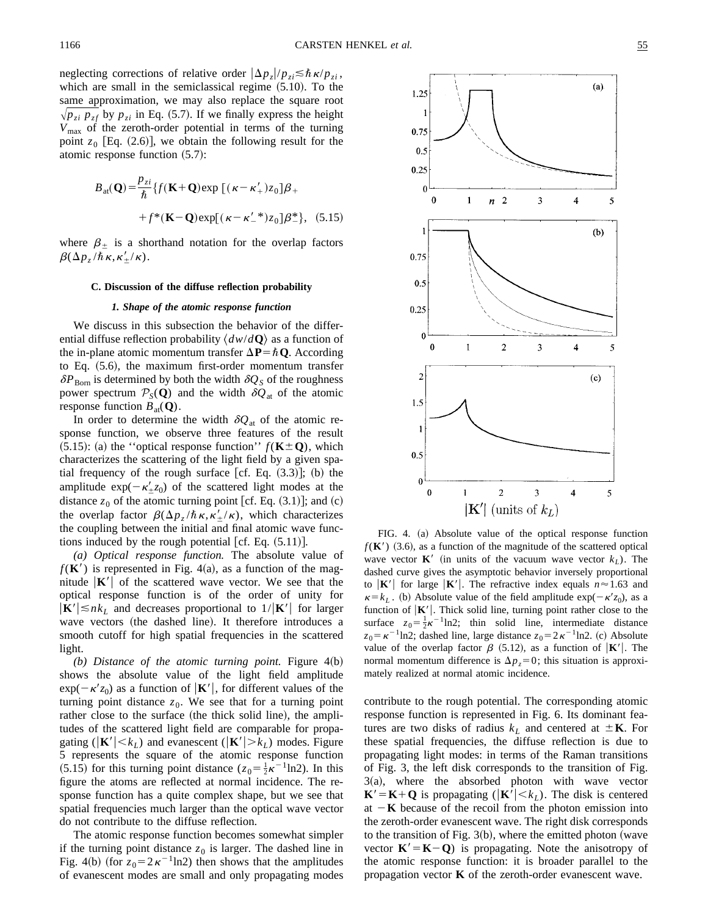neglecting corrections of relative order  $\left|\Delta p_z\right|/p_{zi} \lesssim \hbar \kappa/p_{zi}$ , which are small in the semiclassical regime  $(5.10)$ . To the same approximation, we may also replace the square root  $\sqrt{p_{zi}} p_{zf}$  by  $p_{zi}$  in Eq. (5.7). If we finally express the height *V*max of the zeroth-order potential in terms of the turning

point  $z_0$  [Eq. (2.6)], we obtain the following result for the atomic response function  $(5.7)$ :

$$
B_{\text{at}}(\mathbf{Q}) = \frac{p_{zi}}{\hbar} \{ f(\mathbf{K} + \mathbf{Q}) \exp\left[ (\kappa - \kappa'_{+}) z_{0} \right] \beta_{+} + f^*(\mathbf{K} - \mathbf{Q}) \exp\left[ (\kappa - \kappa'_{-}) z_{0} \right] \beta_{-}^{\ast} \}, \quad (5.15)
$$

where  $\beta_{\pm}$  is a shorthand notation for the overlap factors  $\beta(\Delta p_z/\hbar \kappa, \kappa'_+/\kappa).$ 

#### **C. Discussion of the diffuse reflection probability**

### *1. Shape of the atomic response function*

We discuss in this subsection the behavior of the differential diffuse reflection probability  $\langle d w / d \mathbf{Q} \rangle$  as a function of the in-plane atomic momentum transfer  $\Delta P = \hbar Q$ . According to Eq.  $(5.6)$ , the maximum first-order momentum transfer  $\delta P_{\text{Born}}$  is determined by both the width  $\delta Q_S$  of the roughness power spectrum  $P_S(Q)$  and the width  $\delta Q_{\text{at}}$  of the atomic response function  $B_{\text{at}}(\mathbf{Q})$ .

In order to determine the width  $\delta Q_{\text{at}}$  of the atomic response function, we observe three features of the result  $(5.15)$ : (a) the "optical response function"  $f(K \pm Q)$ , which characterizes the scattering of the light field by a given spatial frequency of the rough surface  $[cf. Eq. (3.3)]; (b)$  the amplitude  $exp(-\kappa'_{+}z_{0})$  of the scattered light modes at the distance  $z_0$  of the atomic turning point [cf. Eq.  $(3.1)$ ]; and  $(c)$ the overlap factor  $\beta(\Delta p_z/\hbar \kappa, \kappa'_{+}/\kappa)$ , which characterizes the coupling between the initial and final atomic wave functions induced by the rough potential  $\lbrack$  cf. Eq.  $(5.11)$ .

*(a) Optical response function.* The absolute value of  $f(\mathbf{K}')$  is represented in Fig. 4(a), as a function of the magnitude  $|\mathbf{K}'|$  of the scattered wave vector. We see that the optical response function is of the order of unity for  $|\mathbf{K}'| \leq n k_L$  and decreases proportional to  $1/|\mathbf{K}'|$  for larger wave vectors (the dashed line). It therefore introduces a smooth cutoff for high spatial frequencies in the scattered light.

 $(b)$  Distance of the atomic turning point. Figure  $4(b)$ shows the absolute value of the light field amplitude  $\exp(-\kappa'z_0)$  as a function of  $|\mathbf{K}'|$ , for different values of the turning point distance  $z_0$ . We see that for a turning point rather close to the surface (the thick solid line), the amplitudes of the scattered light field are comparable for propagating ( $|\mathbf{K}'| \leq k_L$ ) and evanescent ( $|\mathbf{K}'| \geq k_L$ ) modes. Figure 5 represents the square of the atomic response function  $(5.15)$  for this turning point distance  $(z_0 = \frac{1}{2}\kappa^{-1} \ln 2)$ . In this figure the atoms are reflected at normal incidence. The response function has a quite complex shape, but we see that spatial frequencies much larger than the optical wave vector do not contribute to the diffuse reflection.

The atomic response function becomes somewhat simpler if the turning point distance  $z_0$  is larger. The dashed line in Fig. 4(b) (for  $z_0 = 2\kappa^{-1} \ln 2$ ) then shows that the amplitudes of evanescent modes are small and only propagating modes



contribute to the rough potential. The corresponding atomic response function is represented in Fig. 6. Its dominant features are two disks of radius  $k_L$  and centered at  $\pm K$ . For these spatial frequencies, the diffuse reflection is due to propagating light modes: in terms of the Raman transitions of Fig. 3, the left disk corresponds to the transition of Fig.  $3(a)$ , where the absorbed photon with wave vector  $\mathbf{K}' = \mathbf{K} + \mathbf{Q}$  is propagating ( $|\mathbf{K}'| \leq k_L$ ). The disk is centered at  $-\mathbf{K}$  because of the recoil from the photon emission into the zeroth-order evanescent wave. The right disk corresponds to the transition of Fig.  $3(b)$ , where the emitted photon (wave vector  $K' = K - Q$ ) is propagating. Note the anisotropy of the atomic response function: it is broader parallel to the propagation vector **K** of the zeroth-order evanescent wave.

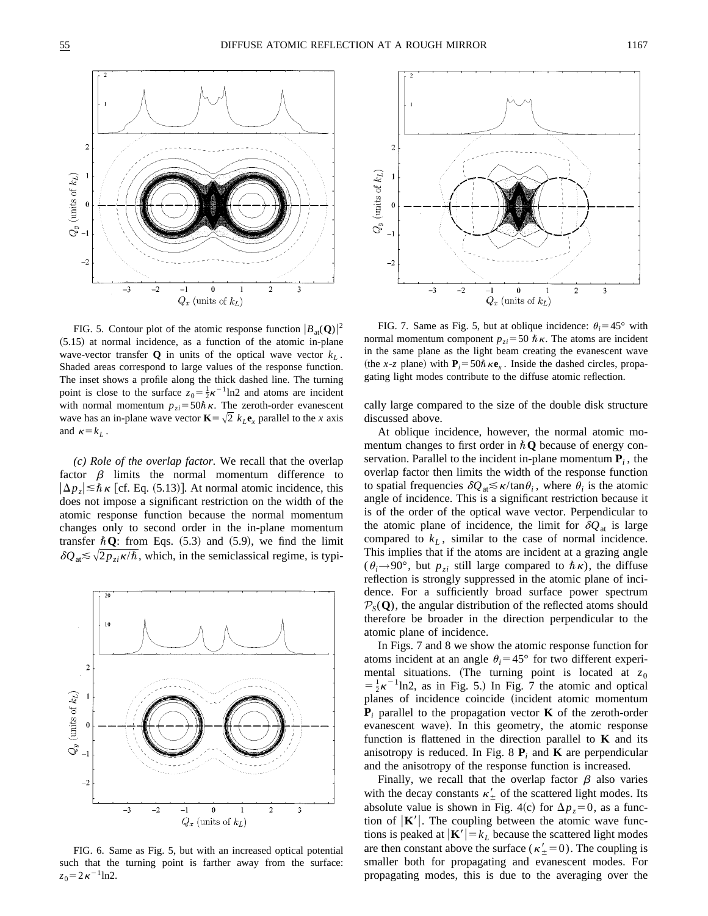

FIG. 5. Contour plot of the atomic response function  $|B_{\text{at}}(\mathbf{Q})|^2$  $(5.15)$  at normal incidence, as a function of the atomic in-plane wave-vector transfer **Q** in units of the optical wave vector  $k<sub>L</sub>$ . Shaded areas correspond to large values of the response function. The inset shows a profile along the thick dashed line. The turning point is close to the surface  $z_0 = \frac{1}{2}\kappa^{-1}\ln 2$  and atoms are incident with normal momentum  $p_{zi} = 50\hbar \kappa$ . The zeroth-order evanescent wave has an in-plane wave vector  $\mathbf{K} = \sqrt{2} k_L \mathbf{e}_x$  parallel to the *x* axis and  $\kappa = k_L$ .

*(c) Role of the overlap factor.* We recall that the overlap factor  $\beta$  limits the normal momentum difference to  $|\Delta p_z| \le \hbar \kappa$  [cf. Eq. (5.13)]. At normal atomic incidence, this does not impose a significant restriction on the width of the atomic response function because the normal momentum changes only to second order in the in-plane momentum transfer  $\hbar$ **Q**: from Eqs.  $(5.3)$  and  $(5.9)$ , we find the limit  $\delta Q_{at} \leq \sqrt{2p_{zi} \kappa/\hbar}$ , which, in the semiclassical regime, is typi-



FIG. 6. Same as Fig. 5, but with an increased optical potential such that the turning point is farther away from the surface:  $z_0 = 2 \kappa^{-1} \ln 2$ .



FIG. 7. Same as Fig. 5, but at oblique incidence:  $\theta_i = 45^\circ$  with normal momentum component  $p_{zi}$ =50  $\hbar \kappa$ . The atoms are incident in the same plane as the light beam creating the evanescent wave (the *x*-*z* plane) with  $P_i = 50\hbar \kappa e_x$ . Inside the dashed circles, propagating light modes contribute to the diffuse atomic reflection.

cally large compared to the size of the double disk structure discussed above.

At oblique incidence, however, the normal atomic momentum changes to first order in  $\hbar$ **Q** because of energy conservation. Parallel to the incident in-plane momentum  $P_i$ , the overlap factor then limits the width of the response function to spatial frequencies  $\delta Q_{at} \le \kappa / \tan \theta_i$ , where  $\theta_i$  is the atomic angle of incidence. This is a significant restriction because it is of the order of the optical wave vector. Perpendicular to the atomic plane of incidence, the limit for  $\delta Q_{at}$  is large compared to  $k_L$ , similar to the case of normal incidence. This implies that if the atoms are incident at a grazing angle  $(\theta_i \rightarrow 90^\circ$ , but  $p_{zi}$  still large compared to  $\hbar \kappa$ ), the diffuse reflection is strongly suppressed in the atomic plane of incidence. For a sufficiently broad surface power spectrum  $P<sub>S</sub>(**Q**)$ , the angular distribution of the reflected atoms should therefore be broader in the direction perpendicular to the atomic plane of incidence.

In Figs. 7 and 8 we show the atomic response function for atoms incident at an angle  $\theta_i = 45^\circ$  for two different experimental situations. (The turning point is located at  $z_0$  $=\frac{1}{2}\kappa^{-1}$ ln2, as in Fig. 5.) In Fig. 7 the atomic and optical planes of incidence coincide (incident atomic momentum  $P_i$  parallel to the propagation vector **K** of the zeroth-order evanescent wave). In this geometry, the atomic response function is flattened in the direction parallel to **K** and its anisotropy is reduced. In Fig. 8  $\mathbf{P}_i$  and **K** are perpendicular and the anisotropy of the response function is increased.

Finally, we recall that the overlap factor  $\beta$  also varies with the decay constants  $\kappa'_{\pm}$  of the scattered light modes. Its absolute value is shown in Fig. 4(c) for  $\Delta p_z = 0$ , as a function of  $|\mathbf{K}'|$ . The coupling between the atomic wave functions is peaked at  $|\mathbf{K}'| = k_L$  because the scattered light modes are then constant above the surface ( $\kappa'_{\pm}=0$ ). The coupling is smaller both for propagating and evanescent modes. For propagating modes, this is due to the averaging over the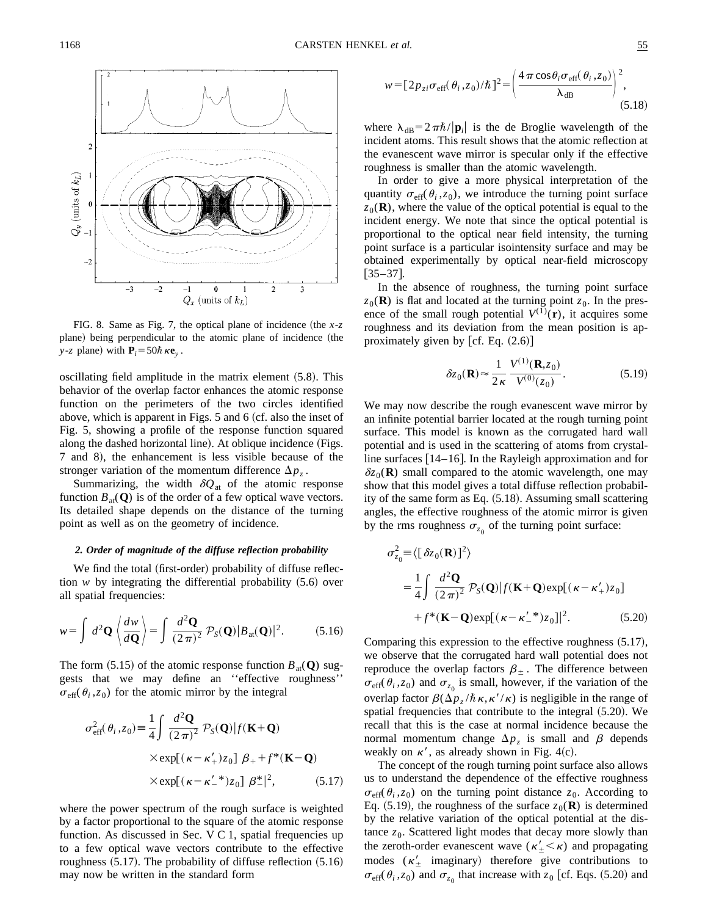

FIG. 8. Same as Fig. 7, the optical plane of incidence (the  $x-z$ plane) being perpendicular to the atomic plane of incidence (the *y*-*z* plane) with  $P_i = 50\hbar \kappa e_y$ .

oscillating field amplitude in the matrix element  $(5.8)$ . This behavior of the overlap factor enhances the atomic response function on the perimeters of the two circles identified above, which is apparent in Figs.  $5$  and  $6$  (cf. also the inset of Fig. 5, showing a profile of the response function squared along the dashed horizontal line). At oblique incidence (Figs. 7 and 8), the enhancement is less visible because of the stronger variation of the momentum difference  $\Delta p_z$ .

Summarizing, the width  $\delta Q_{at}$  of the atomic response function  $B_{at}(Q)$  is of the order of a few optical wave vectors. Its detailed shape depends on the distance of the turning point as well as on the geometry of incidence.

## *2. Order of magnitude of the diffuse reflection probability*

We find the total (first-order) probability of diffuse reflection *w* by integrating the differential probability  $(5.6)$  over all spatial frequencies:

$$
w = \int d^2 \mathbf{Q} \left\langle \frac{dw}{d\mathbf{Q}} \right\rangle = \int \frac{d^2 \mathbf{Q}}{(2\pi)^2} \mathcal{P}_S(\mathbf{Q}) |B_{\text{at}}(\mathbf{Q})|^2.
$$
 (5.16)

The form  $(5.15)$  of the atomic response function  $B_{at}(\mathbf{Q})$  suggests that we may define an ''effective roughness''  $\sigma_{\text{eff}}(\theta_i, z_0)$  for the atomic mirror by the integral

$$
\sigma_{\text{eff}}^2(\theta_i, z_0) \equiv \frac{1}{4} \int \frac{d^2 \mathbf{Q}}{(2\pi)^2} \mathcal{P}_S(\mathbf{Q}) | f(\mathbf{K} + \mathbf{Q})
$$
  
×  $\exp[(\kappa - \kappa'_+) z_0] \beta_+ + f^*(\mathbf{K} - \mathbf{Q})$   
×  $\exp[(\kappa - \kappa'_-) z_0] \beta_-^* |^2,$  (5.17)

where the power spectrum of the rough surface is weighted by a factor proportional to the square of the atomic response function. As discussed in Sec. V C 1, spatial frequencies up to a few optical wave vectors contribute to the effective roughness  $(5.17)$ . The probability of diffuse reflection  $(5.16)$ may now be written in the standard form

$$
w = [2p_{zi}\sigma_{\text{eff}}(\theta_i, z_0)/\hbar]^2 = \left(\frac{4\pi\cos\theta_i\sigma_{\text{eff}}(\theta_i, z_0)}{\lambda_{\text{dB}}}\right)^2,
$$
\n(5.18)

where  $\lambda_{dB} = 2\pi\hbar/|\mathbf{p}_i|$  is the de Broglie wavelength of the incident atoms. This result shows that the atomic reflection at the evanescent wave mirror is specular only if the effective roughness is smaller than the atomic wavelength.

In order to give a more physical interpretation of the quantity  $\sigma_{\text{eff}}(\theta_i, z_0)$ , we introduce the turning point surface  $z_0(\mathbf{R})$ , where the value of the optical potential is equal to the incident energy. We note that since the optical potential is proportional to the optical near field intensity, the turning point surface is a particular isointensity surface and may be obtained experimentally by optical near-field microscopy  $[35-37]$ .

In the absence of roughness, the turning point surface  $z_0(\mathbf{R})$  is flat and located at the turning point  $z_0$ . In the presence of the small rough potential  $V^{(1)}(\mathbf{r})$ , it acquires some roughness and its deviation from the mean position is approximately given by  $[cf. Eq. (2.6)]$ 

$$
\delta z_0(\mathbf{R}) \approx \frac{1}{2\,\kappa} \frac{V^{(1)}(\mathbf{R}, z_0)}{V^{(0)}(z_0)}.
$$
 (5.19)

We may now describe the rough evanescent wave mirror by an infinite potential barrier located at the rough turning point surface. This model is known as the corrugated hard wall potential and is used in the scattering of atoms from crystalline surfaces  $[14–16]$ . In the Rayleigh approximation and for  $\delta z_0(\mathbf{R})$  small compared to the atomic wavelength, one may show that this model gives a total diffuse reflection probability of the same form as Eq.  $(5.18)$ . Assuming small scattering angles, the effective roughness of the atomic mirror is given by the rms roughness  $\sigma_{z_0}$  of the turning point surface:

$$
\sigma_{z_0}^2 = \langle [\delta z_0(\mathbf{R})]^2 \rangle
$$
  
=  $\frac{1}{4} \int \frac{d^2 \mathbf{Q}}{(2\pi)^2} \mathcal{P}_S(\mathbf{Q}) | f(\mathbf{K} + \mathbf{Q}) \exp[(\kappa - \kappa'_+) z_0]$   
+  $f^*(\mathbf{K} - \mathbf{Q}) \exp[(\kappa - \kappa'_-)^2 z_0]|^2.$  (5.20)

Comparing this expression to the effective roughness  $(5.17)$ , we observe that the corrugated hard wall potential does not reproduce the overlap factors  $\beta_{\pm}$ . The difference between  $\sigma_{\text{eff}}(\theta_i, z_0)$  and  $\sigma_{z_0}$  is small, however, if the variation of the overlap factor  $\beta(\Delta p_z/\hbar \kappa, \kappa'/\kappa)$  is negligible in the range of spatial frequencies that contribute to the integral  $(5.20)$ . We recall that this is the case at normal incidence because the normal momentum change  $\Delta p_z$  is small and  $\beta$  depends weakly on  $\kappa'$ , as already shown in Fig. 4(c).

The concept of the rough turning point surface also allows us to understand the dependence of the effective roughness  $\sigma_{\text{eff}}(\theta_i, z_0)$  on the turning point distance  $z_0$ . According to Eq. (5.19), the roughness of the surface  $z_0(\mathbf{R})$  is determined by the relative variation of the optical potential at the distance  $z_0$ . Scattered light modes that decay more slowly than the zeroth-order evanescent wave ( $\kappa'_{+} < \kappa$ ) and propagating modes ( $\kappa'$  imaginary) therefore give contributions to  $\sigma_{\text{eff}}(\theta_i, z_0)$  and  $\sigma_{z_0}$  that increase with  $z_0$  [cf. Eqs. (5.20) and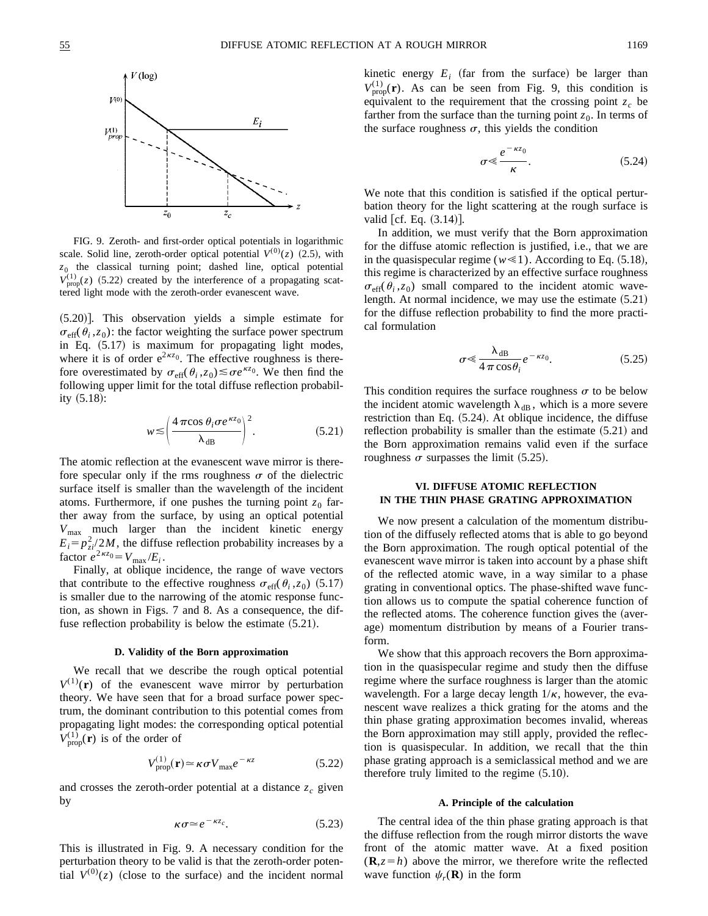

FIG. 9. Zeroth- and first-order optical potentials in logarithmic scale. Solid line, zeroth-order optical potential  $V^{(0)}(z)$  (2.5), with *z*<sup>0</sup> the classical turning point; dashed line, optical potential  $V^{(1)}_{\text{prop}}(z)$  (5.22) created by the interference of a propagating scattered light mode with the zeroth-order evanescent wave.

 $(5.20)$ ]. This observation yields a simple estimate for  $\sigma_{\text{eff}}(\theta_i, z_0)$ : the factor weighting the surface power spectrum in Eq.  $(5.17)$  is maximum for propagating light modes, where it is of order  $e^{2kz_0}$ . The effective roughness is therefore overestimated by  $\sigma_{\text{eff}}(\theta_i, z_0) \leq \sigma e^{\kappa z_0}$ . We then find the following upper limit for the total diffuse reflection probability  $(5.18)$ :

$$
w \lesssim \left(\frac{4\pi\cos\theta_i\sigma e^{\kappa z_0}}{\lambda_{\text{dB}}}\right)^2. \tag{5.21}
$$

The atomic reflection at the evanescent wave mirror is therefore specular only if the rms roughness  $\sigma$  of the dielectric surface itself is smaller than the wavelength of the incident atoms. Furthermore, if one pushes the turning point  $z_0$  farther away from the surface, by using an optical potential *V*max much larger than the incident kinetic energy  $E_i = p_{zi}^2/2M$ , the diffuse reflection probability increases by a factor  $e^{2\kappa z_0} = V_{\text{max}}/E_i$ .

Finally, at oblique incidence, the range of wave vectors that contribute to the effective roughness  $\sigma_{\text{eff}}(\theta_i, z_0)$  (5.17) is smaller due to the narrowing of the atomic response function, as shown in Figs. 7 and 8. As a consequence, the diffuse reflection probability is below the estimate  $(5.21)$ .

#### **D. Validity of the Born approximation**

We recall that we describe the rough optical potential  $V^{(1)}(\mathbf{r})$  of the evanescent wave mirror by perturbation theory. We have seen that for a broad surface power spectrum, the dominant contribution to this potential comes from propagating light modes: the corresponding optical potential  $V^{(1)}_{\text{prop}}(\mathbf{r})$  is of the order of

$$
V_{\text{prop}}^{(1)}(\mathbf{r}) \simeq \kappa \sigma V_{\text{max}} e^{-\kappa z}
$$
 (5.22)

and crosses the zeroth-order potential at a distance  $z_c$  given by

$$
\kappa \sigma \simeq e^{-\kappa z_c}.\tag{5.23}
$$

This is illustrated in Fig. 9. A necessary condition for the perturbation theory to be valid is that the zeroth-order potential  $V^{(0)}(z)$  (close to the surface) and the incident normal kinetic energy  $E_i$  (far from the surface) be larger than  $V_{\text{prop}}^{(1)}(\mathbf{r})$ . As can be seen from Fig. 9, this condition is equivalent to the requirement that the crossing point  $z_c$  be farther from the surface than the turning point  $z_0$ . In terms of the surface roughness  $\sigma$ , this yields the condition

$$
\sigma \ll \frac{e^{-\kappa z_0}}{\kappa}.\tag{5.24}
$$

We note that this condition is satisfied if the optical perturbation theory for the light scattering at the rough surface is valid  $\lceil cf. \text{Eq. } (3.14) \rceil$ .

In addition, we must verify that the Born approximation for the diffuse atomic reflection is justified, i.e., that we are in the quasispecular regime ( $w \le 1$ ). According to Eq.  $(5.18)$ , this regime is characterized by an effective surface roughness  $\sigma_{\text{eff}}(\theta_i, z_0)$  small compared to the incident atomic wavelength. At normal incidence, we may use the estimate  $(5.21)$ for the diffuse reflection probability to find the more practical formulation

$$
\sigma \ll \frac{\lambda_{\text{dB}}}{4 \pi \cos \theta_i} e^{-\kappa z_0}.
$$
 (5.25)

This condition requires the surface roughness  $\sigma$  to be below the incident atomic wavelength  $\lambda_{dB}$ , which is a more severe restriction than Eq.  $(5.24)$ . At oblique incidence, the diffuse reflection probability is smaller than the estimate  $(5.21)$  and the Born approximation remains valid even if the surface roughness  $\sigma$  surpasses the limit (5.25).

# **VI. DIFFUSE ATOMIC REFLECTION IN THE THIN PHASE GRATING APPROXIMATION**

We now present a calculation of the momentum distribution of the diffusely reflected atoms that is able to go beyond the Born approximation. The rough optical potential of the evanescent wave mirror is taken into account by a phase shift of the reflected atomic wave, in a way similar to a phase grating in conventional optics. The phase-shifted wave function allows us to compute the spatial coherence function of the reflected atoms. The coherence function gives the (average) momentum distribution by means of a Fourier transform.

We show that this approach recovers the Born approximation in the quasispecular regime and study then the diffuse regime where the surface roughness is larger than the atomic wavelength. For a large decay length  $1/\kappa$ , however, the evanescent wave realizes a thick grating for the atoms and the thin phase grating approximation becomes invalid, whereas the Born approximation may still apply, provided the reflection is quasispecular. In addition, we recall that the thin phase grating approach is a semiclassical method and we are therefore truly limited to the regime  $(5.10)$ .

### **A. Principle of the calculation**

The central idea of the thin phase grating approach is that the diffuse reflection from the rough mirror distorts the wave front of the atomic matter wave. At a fixed position  $(\mathbf{R}, z = h)$  above the mirror, we therefore write the reflected wave function  $\psi_r(\mathbf{R})$  in the form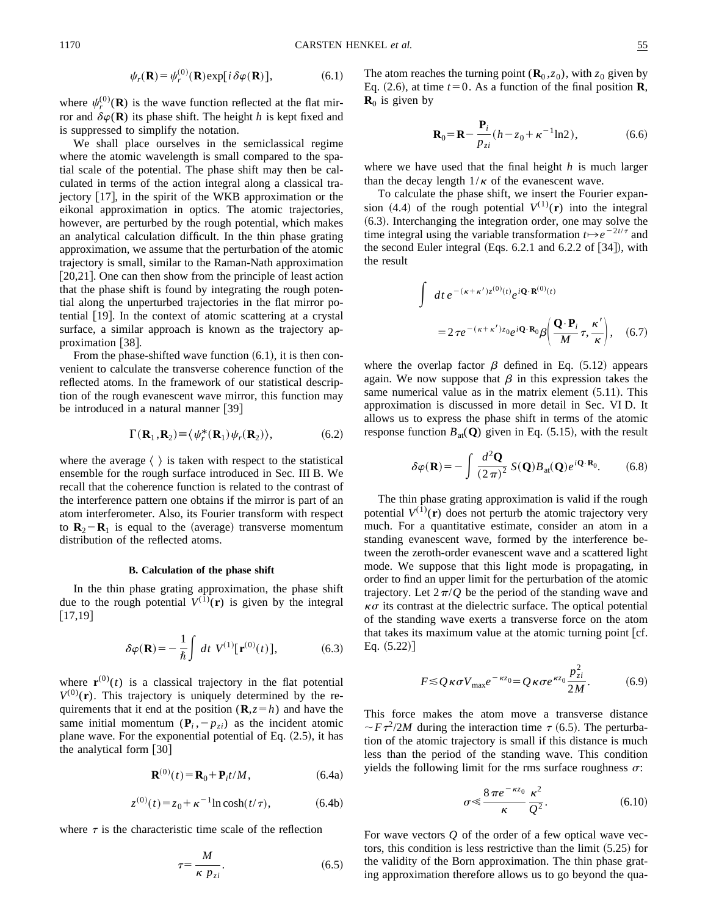$$
\psi_r(\mathbf{R}) = \psi_r^{(0)}(\mathbf{R}) \exp[i \delta \varphi(\mathbf{R})],\tag{6.1}
$$

where  $\psi_r^{(0)}(\mathbf{R})$  is the wave function reflected at the flat mirror and  $\delta \varphi(\mathbf{R})$  its phase shift. The height *h* is kept fixed and is suppressed to simplify the notation.

We shall place ourselves in the semiclassical regime where the atomic wavelength is small compared to the spatial scale of the potential. The phase shift may then be calculated in terms of the action integral along a classical trajectory  $[17]$ , in the spirit of the WKB approximation or the eikonal approximation in optics. The atomic trajectories, however, are perturbed by the rough potential, which makes an analytical calculation difficult. In the thin phase grating approximation, we assume that the perturbation of the atomic trajectory is small, similar to the Raman-Nath approximation  $[20,21]$ . One can then show from the principle of least action that the phase shift is found by integrating the rough potential along the unperturbed trajectories in the flat mirror potential  $[19]$ . In the context of atomic scattering at a crystal surface, a similar approach is known as the trajectory approximation [38].

From the phase-shifted wave function  $(6.1)$ , it is then convenient to calculate the transverse coherence function of the reflected atoms. In the framework of our statistical description of the rough evanescent wave mirror, this function may be introduced in a natural manner  $[39]$ 

$$
\Gamma(\mathbf{R}_1, \mathbf{R}_2) \equiv \langle \psi_r^*(\mathbf{R}_1) \psi_r(\mathbf{R}_2) \rangle, \tag{6.2}
$$

where the average  $\langle \rangle$  is taken with respect to the statistical ensemble for the rough surface introduced in Sec. III B. We recall that the coherence function is related to the contrast of the interference pattern one obtains if the mirror is part of an atom interferometer. Also, its Fourier transform with respect to  $\mathbf{R}_2 - \mathbf{R}_1$  is equal to the (average) transverse momentum distribution of the reflected atoms.

### **B. Calculation of the phase shift**

In the thin phase grating approximation, the phase shift due to the rough potential  $V^{(1)}(\mathbf{r})$  is given by the integral  $[17,19]$ 

$$
\delta\varphi(\mathbf{R}) = -\frac{1}{\hbar} \int dt \ V^{(1)}[\mathbf{r}^{(0)}(t)], \tag{6.3}
$$

where  $\mathbf{r}^{(0)}(t)$  is a classical trajectory in the flat potential  $V^{(0)}(\mathbf{r})$ . This trajectory is uniquely determined by the requirements that it end at the position ( $\mathbf{R}, z = h$ ) and have the same initial momentum  $(\mathbf{P}_i, -p_{zi})$  as the incident atomic plane wave. For the exponential potential of Eq.  $(2.5)$ , it has the analytical form  $\lceil 30 \rceil$ 

$$
\mathbf{R}^{(0)}(t) = \mathbf{R}_0 + \mathbf{P}_i t / M,\tag{6.4a}
$$

$$
z^{(0)}(t) = z_0 + \kappa^{-1} \ln \cosh(t/\tau),
$$
 (6.4b)

where  $\tau$  is the characteristic time scale of the reflection

$$
\tau = \frac{M}{\kappa \ p_{zi}}.\tag{6.5}
$$

The atom reaches the turning point  $(\mathbf{R}_0, z_0)$ , with  $z_0$  given by Eq. (2.6), at time  $t=0$ . As a function of the final position **R**,  $\mathbf{R}_0$  is given by

$$
\mathbf{R}_0 = \mathbf{R} - \frac{\mathbf{P}_i}{p_{zi}} (h - z_0 + \kappa^{-1} \ln 2),
$$
 (6.6)

where we have used that the final height *h* is much larger than the decay length  $1/\kappa$  of the evanescent wave.

To calculate the phase shift, we insert the Fourier expansion (4.4) of the rough potential  $V^{(1)}(\mathbf{r})$  into the integral  $(6.3)$ . Interchanging the integration order, one may solve the time integral using the variable transformation  $t \mapsto e^{-2t/\tau}$  and the second Euler integral (Eqs. 6.2.1 and 6.2.2 of  $[34]$ ), with the result

$$
\int dt e^{-(\kappa + \kappa')z^{(0)}(t)} e^{i\mathbf{Q} \cdot \mathbf{R}^{(0)}(t)}
$$
  
=  $2 \tau e^{-(\kappa + \kappa')z_0} e^{i\mathbf{Q} \cdot \mathbf{R}_0} \beta \left( \frac{\mathbf{Q} \cdot \mathbf{P}_i}{M} \tau, \frac{\kappa'}{\kappa} \right),$  (6.7)

where the overlap factor  $\beta$  defined in Eq. (5.12) appears again. We now suppose that  $\beta$  in this expression takes the same numerical value as in the matrix element  $(5.11)$ . This approximation is discussed in more detail in Sec. VI D. It allows us to express the phase shift in terms of the atomic response function  $B_{at}(\mathbf{Q})$  given in Eq. (5.15), with the result

$$
\delta\varphi(\mathbf{R}) = -\int \frac{d^2 \mathbf{Q}}{(2\pi)^2} S(\mathbf{Q}) B_{\text{at}}(\mathbf{Q}) e^{i\mathbf{Q} \cdot \mathbf{R}_0}.
$$
 (6.8)

The thin phase grating approximation is valid if the rough potential  $V^{(1)}(\mathbf{r})$  does not perturb the atomic trajectory very much. For a quantitative estimate, consider an atom in a standing evanescent wave, formed by the interference between the zeroth-order evanescent wave and a scattered light mode. We suppose that this light mode is propagating, in order to find an upper limit for the perturbation of the atomic trajectory. Let  $2\pi/Q$  be the period of the standing wave and  $\kappa \sigma$  its contrast at the dielectric surface. The optical potential of the standing wave exerts a transverse force on the atom that takes its maximum value at the atomic turning point  $[cf.$ Eq.  $(5.22)$ ]

$$
F \lesssim Q \kappa \sigma V_{\text{max}} e^{-\kappa z_0} = Q \kappa \sigma e^{\kappa z_0} \frac{p_{zi}^2}{2M}.
$$
 (6.9)

This force makes the atom move a transverse distance  $\sim F \tau^2/2M$  during the interaction time  $\tau$  (6.5). The perturbation of the atomic trajectory is small if this distance is much less than the period of the standing wave. This condition yields the following limit for the rms surface roughness  $\sigma$ :

$$
\sigma \ll \frac{8\,\pi e^{-\kappa z_0}}{\kappa} \frac{\kappa^2}{Q^2}.
$$
\n(6.10)

For wave vectors *Q* of the order of a few optical wave vectors, this condition is less restrictive than the limit  $(5.25)$  for the validity of the Born approximation. The thin phase grating approximation therefore allows us to go beyond the qua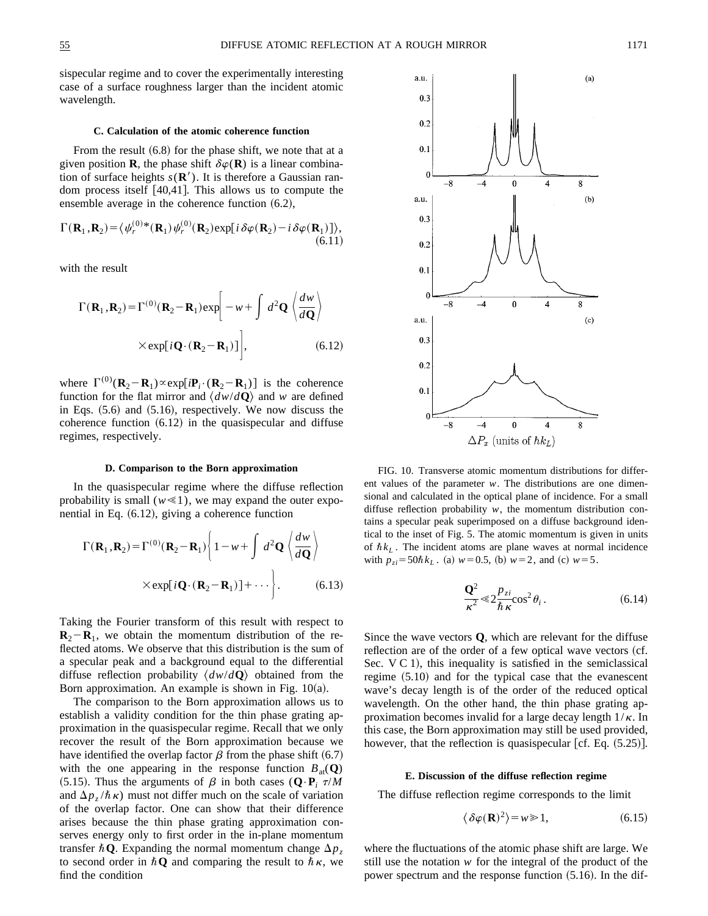sispecular regime and to cover the experimentally interesting case of a surface roughness larger than the incident atomic wavelength.

### **C. Calculation of the atomic coherence function**

From the result  $(6.8)$  for the phase shift, we note that at a given position **R**, the phase shift  $\delta \varphi(\mathbf{R})$  is a linear combination of surface heights  $s(\mathbf{R}')$ . It is therefore a Gaussian random process itself  $[40,41]$ . This allows us to compute the ensemble average in the coherence function  $(6.2)$ ,

$$
\Gamma(\mathbf{R}_1, \mathbf{R}_2) = \langle \psi_r^{(0)*}(\mathbf{R}_1) \psi_r^{(0)}(\mathbf{R}_2) \exp[i \delta \varphi(\mathbf{R}_2) - i \delta \varphi(\mathbf{R}_1)] \rangle, \tag{6.11}
$$

with the result

$$
\Gamma(\mathbf{R}_1, \mathbf{R}_2) = \Gamma^{(0)}(\mathbf{R}_2 - \mathbf{R}_1) \exp\left[-w + \int d^2 \mathbf{Q} \left\langle \frac{dw}{d\mathbf{Q}} \right\rangle \right]
$$
  
×  $\exp[i\mathbf{Q} \cdot (\mathbf{R}_2 - \mathbf{R}_1)]$ , (6.12)

where  $\Gamma^{(0)}(\mathbf{R}_2 - \mathbf{R}_1) \propto \exp[i\mathbf{P}_i \cdot (\mathbf{R}_2 - \mathbf{R}_1)]$  is the coherence function for the flat mirror and  $\langle dw/d\mathbf{Q}\rangle$  and *w* are defined in Eqs.  $(5.6)$  and  $(5.16)$ , respectively. We now discuss the coherence function  $(6.12)$  in the quasispecular and diffuse regimes, respectively.

#### **D. Comparison to the Born approximation**

In the quasispecular regime where the diffuse reflection probability is small ( $w \ll 1$ ), we may expand the outer exponential in Eq.  $(6.12)$ , giving a coherence function

$$
\Gamma(\mathbf{R}_1, \mathbf{R}_2) = \Gamma^{(0)}(\mathbf{R}_2 - \mathbf{R}_1) \left\{ 1 - w + \int d^2 \mathbf{Q} \left\langle \frac{dw}{d\mathbf{Q}} \right\rangle \right\}
$$

$$
\times \exp[i\mathbf{Q} \cdot (\mathbf{R}_2 - \mathbf{R}_1)] + \cdots \left\}.
$$
 (6.13)

Taking the Fourier transform of this result with respect to  $\mathbf{R}_2 - \mathbf{R}_1$ , we obtain the momentum distribution of the reflected atoms. We observe that this distribution is the sum of a specular peak and a background equal to the differential diffuse reflection probability  $\langle d w / d \mathbf{Q} \rangle$  obtained from the Born approximation. An example is shown in Fig.  $10(a)$ .

The comparison to the Born approximation allows us to establish a validity condition for the thin phase grating approximation in the quasispecular regime. Recall that we only recover the result of the Born approximation because we have identified the overlap factor  $\beta$  from the phase shift (6.7) with the one appearing in the response function  $B_{at}(\mathbf{Q})$ (5.15). Thus the arguments of  $\beta$  in both cases ( $\mathbf{Q} \cdot \mathbf{P}_i$   $\tau/M$ and  $\Delta p_z/\hbar \kappa$ ) must not differ much on the scale of variation of the overlap factor. One can show that their difference arises because the thin phase grating approximation conserves energy only to first order in the in-plane momentum transfer  $\hbar \mathbf{Q}$ . Expanding the normal momentum change  $\Delta p_z$ to second order in  $\hbar \mathbf{Q}$  and comparing the result to  $\hbar \kappa$ , we find the condition



FIG. 10. Transverse atomic momentum distributions for different values of the parameter *w*. The distributions are one dimensional and calculated in the optical plane of incidence. For a small diffuse reflection probability *w*, the momentum distribution contains a specular peak superimposed on a diffuse background identical to the inset of Fig. 5. The atomic momentum is given in units of  $\hbar k_L$ . The incident atoms are plane waves at normal incidence with  $p_{zi} = 50\hbar k_L$ . (a)  $w = 0.5$ , (b)  $w = 2$ , and (c)  $w = 5$ .

$$
\frac{\mathbf{Q}^2}{\kappa^2} \ll 2 \frac{p_{zi}}{\hbar \kappa} \cos^2 \theta_i. \tag{6.14}
$$

Since the wave vectors **Q**, which are relevant for the diffuse reflection are of the order of a few optical wave vectors (cf. Sec.  $V C 1$ ), this inequality is satisfied in the semiclassical regime  $(5.10)$  and for the typical case that the evanescent wave's decay length is of the order of the reduced optical wavelength. On the other hand, the thin phase grating approximation becomes invalid for a large decay length  $1/\kappa$ . In this case, the Born approximation may still be used provided, however, that the reflection is quasispecular [cf. Eq.  $(5.25)$ ].

## **E. Discussion of the diffuse reflection regime**

The diffuse reflection regime corresponds to the limit

$$
\langle \delta \varphi(\mathbf{R})^2 \rangle = w \gg 1, \tag{6.15}
$$

where the fluctuations of the atomic phase shift are large. We still use the notation *w* for the integral of the product of the power spectrum and the response function  $(5.16)$ . In the dif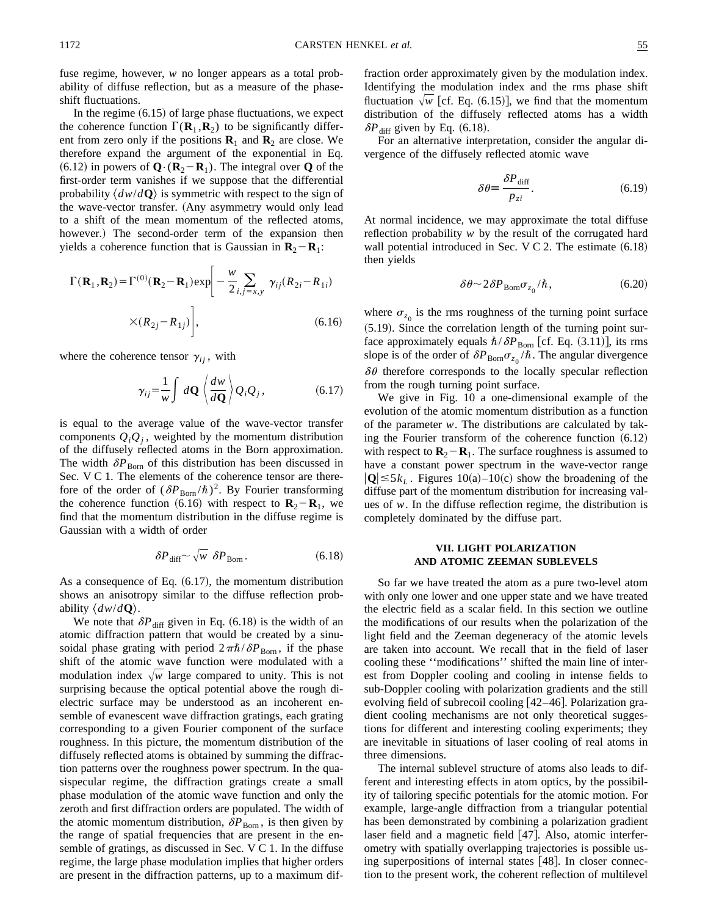fuse regime, however, *w* no longer appears as a total probability of diffuse reflection, but as a measure of the phaseshift fluctuations.

In the regime  $(6.15)$  of large phase fluctuations, we expect the coherence function  $\Gamma(\mathbf{R}_1, \mathbf{R}_2)$  to be significantly different from zero only if the positions  $\mathbf{R}_1$  and  $\mathbf{R}_2$  are close. We therefore expand the argument of the exponential in Eq.  $(6.12)$  in powers of  $\mathbf{Q} \cdot (\mathbf{R}_2 - \mathbf{R}_1)$ . The integral over **Q** of the first-order term vanishes if we suppose that the differential probability  $\langle dw/d\mathbf{Q} \rangle$  is symmetric with respect to the sign of the wave-vector transfer. (Any asymmetry would only lead to a shift of the mean momentum of the reflected atoms, however.) The second-order term of the expansion then yields a coherence function that is Gaussian in  $\mathbf{R}_2 - \mathbf{R}_1$ :

$$
\Gamma(\mathbf{R}_1, \mathbf{R}_2) = \Gamma^{(0)}(\mathbf{R}_2 - \mathbf{R}_1) \exp\left[-\frac{w}{2} \sum_{i,j=x,y} \gamma_{ij} (R_{2i} - R_{1i})\right] \times (R_{2j} - R_{1j})
$$
\n(6.16)

where the coherence tensor  $\gamma_{ij}$ , with

$$
\gamma_{ij} = \frac{1}{w} \int d\mathbf{Q} \left\langle \frac{dw}{d\mathbf{Q}} \right\rangle Q_i Q_j, \qquad (6.17)
$$

is equal to the average value of the wave-vector transfer components  $Q_iQ_j$ , weighted by the momentum distribution of the diffusely reflected atoms in the Born approximation. The width  $\delta P_{\text{Born}}$  of this distribution has been discussed in Sec. V C 1. The elements of the coherence tensor are therefore of the order of  $(\delta P_{\text{Born}}/\hbar)^2$ . By Fourier transforming the coherence function (6.16) with respect to  $\mathbf{R}_2 - \mathbf{R}_1$ , we find that the momentum distribution in the diffuse regime is Gaussian with a width of order

$$
\delta P_{\text{diff}} \sim \sqrt{w} \ \delta P_{\text{Born}}.\tag{6.18}
$$

As a consequence of Eq.  $(6.17)$ , the momentum distribution shows an anisotropy similar to the diffuse reflection probability  $\langle dw/d\mathbf{Q}\rangle$ .

We note that  $\delta P_{\text{diff}}$  given in Eq. (6.18) is the width of an atomic diffraction pattern that would be created by a sinusoidal phase grating with period  $2\pi\hbar/\delta P_{\text{Born}}$ , if the phase shift of the atomic wave function were modulated with a modulation index  $\sqrt{w}$  large compared to unity. This is not surprising because the optical potential above the rough dielectric surface may be understood as an incoherent ensemble of evanescent wave diffraction gratings, each grating corresponding to a given Fourier component of the surface roughness. In this picture, the momentum distribution of the diffusely reflected atoms is obtained by summing the diffraction patterns over the roughness power spectrum. In the quasispecular regime, the diffraction gratings create a small phase modulation of the atomic wave function and only the zeroth and first diffraction orders are populated. The width of the atomic momentum distribution,  $\delta P_{\text{Born}}$ , is then given by the range of spatial frequencies that are present in the ensemble of gratings, as discussed in Sec. V C 1. In the diffuse regime, the large phase modulation implies that higher orders are present in the diffraction patterns, up to a maximum diffraction order approximately given by the modulation index. Identifying the modulation index and the rms phase shift fluctuation  $\sqrt{w}$  [cf. Eq. (6.15)], we find that the momentum distribution of the diffusely reflected atoms has a width  $\delta P_{\text{diff}}$  given by Eq. (6.18).

For an alternative interpretation, consider the angular divergence of the diffusely reflected atomic wave

$$
\delta\theta \equiv \frac{\delta P_{\text{diff}}}{p_{zi}}.\tag{6.19}
$$

At normal incidence, we may approximate the total diffuse reflection probability *w* by the result of the corrugated hard wall potential introduced in Sec. V C 2. The estimate  $(6.18)$ then yields

$$
\delta\theta \sim 2\delta P_{\text{Born}} \sigma_{z_0}/\hbar, \tag{6.20}
$$

where  $\sigma_{z_0}$  is the rms roughness of the turning point surface  $(5.19)$ . Since the correlation length of the turning point surface approximately equals  $\hbar/\delta P_{\text{Born}}$  [cf. Eq. (3.11)], its rms slope is of the order of  $\delta P_{\text{Born}} \sigma_{z_0}/\hbar$ . The angular divergence  $\delta\theta$  therefore corresponds to the locally specular reflection from the rough turning point surface.

We give in Fig. 10 a one-dimensional example of the evolution of the atomic momentum distribution as a function of the parameter *w*. The distributions are calculated by taking the Fourier transform of the coherence function  $(6.12)$ with respect to  $\mathbf{R}_2 - \mathbf{R}_1$ . The surface roughness is assumed to have a constant power spectrum in the wave-vector range  $|{\bf Q}| \le 5k_L$ . Figures 10(a)–10(c) show the broadening of the diffuse part of the momentum distribution for increasing values of *w*. In the diffuse reflection regime, the distribution is completely dominated by the diffuse part.

# **VII. LIGHT POLARIZATION AND ATOMIC ZEEMAN SUBLEVELS**

So far we have treated the atom as a pure two-level atom with only one lower and one upper state and we have treated the electric field as a scalar field. In this section we outline the modifications of our results when the polarization of the light field and the Zeeman degeneracy of the atomic levels are taken into account. We recall that in the field of laser cooling these ''modifications'' shifted the main line of interest from Doppler cooling and cooling in intense fields to sub-Doppler cooling with polarization gradients and the still evolving field of subrecoil cooling  $[42–46]$ . Polarization gradient cooling mechanisms are not only theoretical suggestions for different and interesting cooling experiments; they are inevitable in situations of laser cooling of real atoms in three dimensions.

The internal sublevel structure of atoms also leads to different and interesting effects in atom optics, by the possibility of tailoring specific potentials for the atomic motion. For example, large-angle diffraction from a triangular potential has been demonstrated by combining a polarization gradient laser field and a magnetic field [47]. Also, atomic interferometry with spatially overlapping trajectories is possible using superpositions of internal states  $[48]$ . In closer connection to the present work, the coherent reflection of multilevel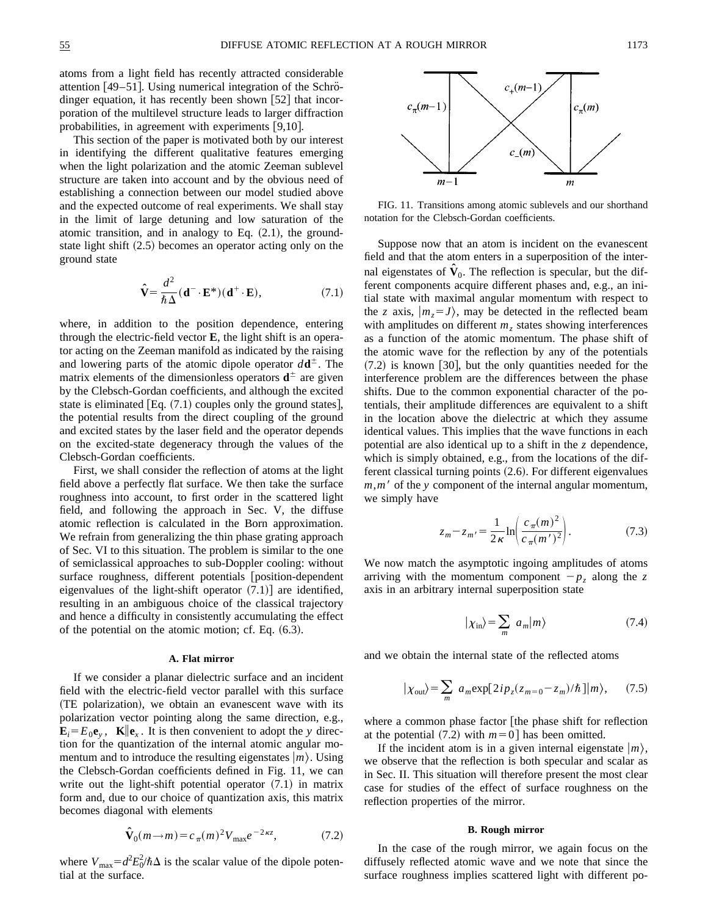atoms from a light field has recently attracted considerable attention  $[49-51]$ . Using numerical integration of the Schrödinger equation, it has recently been shown  $[52]$  that incorporation of the multilevel structure leads to larger diffraction probabilities, in agreement with experiments  $[9,10]$ .

This section of the paper is motivated both by our interest in identifying the different qualitative features emerging when the light polarization and the atomic Zeeman sublevel structure are taken into account and by the obvious need of establishing a connection between our model studied above and the expected outcome of real experiments. We shall stay in the limit of large detuning and low saturation of the atomic transition, and in analogy to Eq.  $(2.1)$ , the groundstate light shift  $(2.5)$  becomes an operator acting only on the ground state

$$
\hat{\mathbf{V}} = \frac{d^2}{\hbar \Delta} (\mathbf{d} - \mathbf{E}^*)(\mathbf{d} + \mathbf{E}),
$$
 (7.1)

where, in addition to the position dependence, entering through the electric-field vector **E**, the light shift is an operator acting on the Zeeman manifold as indicated by the raising and lowering parts of the atomic dipole operator  $d\mathbf{d}^{\pm}$ . The matrix elements of the dimensionless operators  $\mathbf{d}^{\pm}$  are given by the Clebsch-Gordan coefficients, and although the excited state is eliminated  $[Eq. (7.1)$  couples only the ground states], the potential results from the direct coupling of the ground and excited states by the laser field and the operator depends on the excited-state degeneracy through the values of the Clebsch-Gordan coefficients.

First, we shall consider the reflection of atoms at the light field above a perfectly flat surface. We then take the surface roughness into account, to first order in the scattered light field, and following the approach in Sec. V, the diffuse atomic reflection is calculated in the Born approximation. We refrain from generalizing the thin phase grating approach of Sec. VI to this situation. The problem is similar to the one of semiclassical approaches to sub-Doppler cooling: without surface roughness, different potentials [position-dependent eigenvalues of the light-shift operator  $(7.1)$ ] are identified, resulting in an ambiguous choice of the classical trajectory and hence a difficulty in consistently accumulating the effect of the potential on the atomic motion; cf. Eq.  $(6.3)$ .

#### **A. Flat mirror**

If we consider a planar dielectric surface and an incident field with the electric-field vector parallel with this surface (TE polarization), we obtain an evanescent wave with its polarization vector pointing along the same direction, e.g.,  $\mathbf{E}_i = E_0 \mathbf{e}_y$ ,  $\mathbf{K} \parallel \mathbf{e}_x$ . It is then convenient to adopt the *y* direction for the quantization of the internal atomic angular momentum and to introduce the resulting eigenstates  $|m\rangle$ . Using the Clebsch-Gordan coefficients defined in Fig. 11, we can write out the light-shift potential operator  $(7.1)$  in matrix form and, due to our choice of quantization axis, this matrix becomes diagonal with elements

$$
\hat{\mathbf{V}}_0(m \to m) = c_\pi(m)^2 V_{\text{max}} e^{-2\kappa z},\tag{7.2}
$$

where  $V_{\text{max}} = d^2 E_0^2 / \hbar \Delta$  is the scalar value of the dipole potential at the surface.



FIG. 11. Transitions among atomic sublevels and our shorthand notation for the Clebsch-Gordan coefficients.

Suppose now that an atom is incident on the evanescent field and that the atom enters in a superposition of the internal eigenstates of  $\hat{V}_0$ . The reflection is specular, but the different components acquire different phases and, e.g., an initial state with maximal angular momentum with respect to the *z* axis,  $|m_z = J\rangle$ , may be detected in the reflected beam with amplitudes on different  $m<sub>z</sub>$  states showing interferences as a function of the atomic momentum. The phase shift of the atomic wave for the reflection by any of the potentials  $(7.2)$  is known [30], but the only quantities needed for the interference problem are the differences between the phase shifts. Due to the common exponential character of the potentials, their amplitude differences are equivalent to a shift in the location above the dielectric at which they assume identical values. This implies that the wave functions in each potential are also identical up to a shift in the *z* dependence, which is simply obtained, e.g., from the locations of the different classical turning points  $(2.6)$ . For different eigenvalues  $m,m'$  of the *y* component of the internal angular momentum, we simply have

$$
z_m - z_{m'} = \frac{1}{2\kappa} \ln \left( \frac{c_{\pi}(m)^2}{c_{\pi}(m')^2} \right).
$$
 (7.3)

We now match the asymptotic ingoing amplitudes of atoms arriving with the momentum component  $-p_z$  along the *z* axis in an arbitrary internal superposition state

$$
|\chi_{\rm in}\rangle = \sum_{m} a_{m} |m\rangle \tag{7.4}
$$

and we obtain the internal state of the reflected atoms

$$
|\chi_{\text{out}}\rangle = \sum_{m} a_{m} \exp[2ip_{z}(z_{m=0} - z_{m})/\hbar] |m\rangle, \qquad (7.5)
$$

where a common phase factor the phase shift for reflection at the potential  $(7.2)$  with  $m=0$ ] has been omitted.

If the incident atom is in a given internal eigenstate  $|m\rangle$ , we observe that the reflection is both specular and scalar as in Sec. II. This situation will therefore present the most clear case for studies of the effect of surface roughness on the reflection properties of the mirror.

#### **B. Rough mirror**

In the case of the rough mirror, we again focus on the diffusely reflected atomic wave and we note that since the surface roughness implies scattered light with different po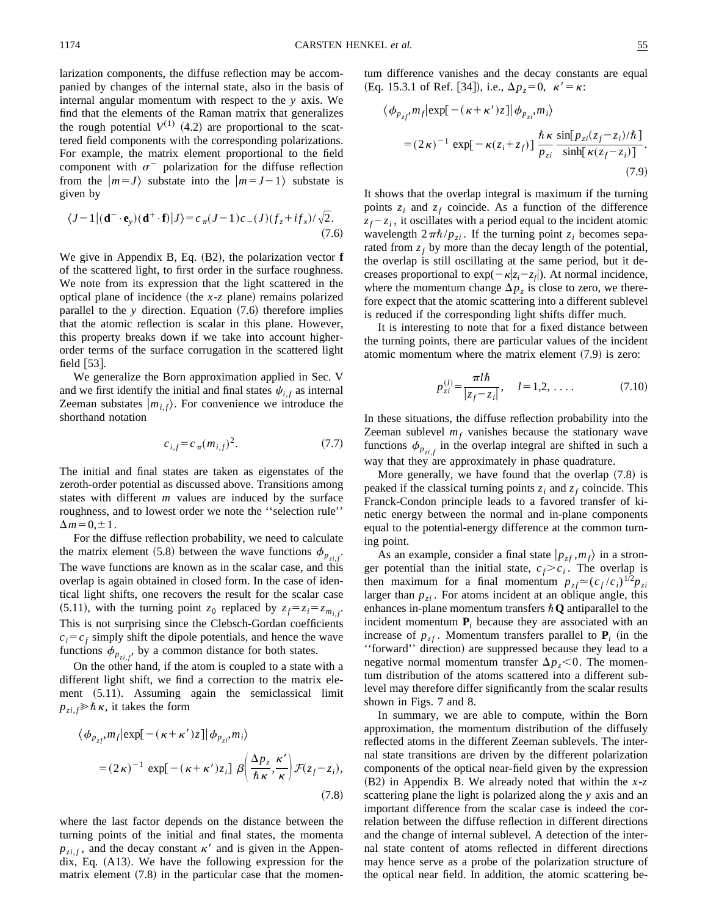larization components, the diffuse reflection may be accompanied by changes of the internal state, also in the basis of internal angular momentum with respect to the *y* axis. We find that the elements of the Raman matrix that generalizes the rough potential  $V^{(1)}$  (4.2) are proportional to the scattered field components with the corresponding polarizations. For example, the matrix element proportional to the field component with  $\sigma^-$  polarization for the diffuse reflection from the  $|m=J\rangle$  substate into the  $|m=J-1\rangle$  substate is given by

$$
\langle J-1 | (\mathbf{d}^- \cdot \mathbf{e}_y) (\mathbf{d}^+ \cdot \mathbf{f}) | J \rangle = c_{\pi} (J-1) c_{-}(J) (f_z + i f_x) / \sqrt{2}.
$$
\n(7.6)

We give in Appendix B, Eq.  $(B2)$ , the polarization vector **f** of the scattered light, to first order in the surface roughness. We note from its expression that the light scattered in the optical plane of incidence (the  $x$ - $z$  plane) remains polarized parallel to the  $y$  direction. Equation  $(7.6)$  therefore implies that the atomic reflection is scalar in this plane. However, this property breaks down if we take into account higherorder terms of the surface corrugation in the scattered light field  $[53]$ .

We generalize the Born approximation applied in Sec. V and we first identify the initial and final states  $\psi_{i,f}$  as internal Zeeman substates  $|m_{i,f}\rangle$ . For convenience we introduce the shorthand notation

$$
c_{i,f} = c_{\pi}(m_{i,f})^2. \tag{7.7}
$$

The initial and final states are taken as eigenstates of the zeroth-order potential as discussed above. Transitions among states with different *m* values are induced by the surface roughness, and to lowest order we note the ''selection rule''  $\Delta m$ <sup>=</sup>0,<sup> $\pm$ </sup>1.

For the diffuse reflection probability, we need to calculate the matrix element (5.8) between the wave functions  $\phi_{p_{zi,j}}$ . The wave functions are known as in the scalar case, and this overlap is again obtained in closed form. In the case of identical light shifts, one recovers the result for the scalar case  $(5.11)$ , with the turning point  $z_0$  replaced by  $z_f = z_i = z_{m_{i,f}}$ . This is not surprising since the Clebsch-Gordan coefficients  $c_i = c_f$  simply shift the dipole potentials, and hence the wave functions  $\phi_{p_{zi,f}}$ , by a common distance for both states.

On the other hand, if the atom is coupled to a state with a different light shift, we find a correction to the matrix element  $(5.11)$ . Assuming again the semiclassical limit  $p_{zi,f} \geq \hbar \kappa$ , it takes the form

$$
\langle \phi_{p_{zf}} m_f | \exp[-(\kappa + \kappa')z] | \phi_{p_{zi}}, m_i \rangle
$$
  
=  $(2\kappa)^{-1} \exp[-(\kappa + \kappa')z_i] \beta \left( \frac{\Delta p_z}{\hbar \kappa}, \frac{\kappa'}{\kappa} \right) \mathcal{F}(z_f - z_i),$  (7.8)

where the last factor depends on the distance between the turning points of the initial and final states, the momenta  $p_{zi,f}$ , and the decay constant  $\kappa'$  and is given in the Appendix, Eq.  $(A13)$ . We have the following expression for the matrix element  $(7.8)$  in the particular case that the momentum difference vanishes and the decay constants are equal (Eq. 15.3.1 of Ref. [34]), i.e.,  $\Delta p_z = 0$ ,  $\kappa' = \kappa$ :

$$
\langle \phi_{p_{zf}}, m_f | \exp[-(\kappa + \kappa')z] | \phi_{p_{zi}}, m_i \rangle
$$
  
=  $(2\kappa)^{-1} \exp[-\kappa(z_i + z_f)] \frac{\hbar \kappa}{p_{zi}} \frac{\sin[p_{zi}(z_f - z_i)/\hbar]}{\sinh[\kappa(z_f - z_i)]}.$  (7.9)

It shows that the overlap integral is maximum if the turning points  $z_i$  and  $z_f$  coincide. As a function of the difference  $z_f - z_i$ , it oscillates with a period equal to the incident atomic wavelength  $2\pi\hbar/p_{zi}$ . If the turning point  $z_i$  becomes separated from  $z_f$  by more than the decay length of the potential, the overlap is still oscillating at the same period, but it decreases proportional to  $exp(-\kappa |z_i - z_f|)$ . At normal incidence, where the momentum change  $\Delta p_z$  is close to zero, we therefore expect that the atomic scattering into a different sublevel is reduced if the corresponding light shifts differ much.

It is interesting to note that for a fixed distance between the turning points, there are particular values of the incident atomic momentum where the matrix element  $(7.9)$  is zero:

$$
p_{zi}^{(l)} = \frac{\pi l \hbar}{|z_f - z_i|}, \quad l = 1, 2, \dots
$$
 (7.10)

In these situations, the diffuse reflection probability into the Zeeman sublevel  $m_f$  vanishes because the stationary wave functions  $\phi_{p_{zi,f}}$  in the overlap integral are shifted in such a way that they are approximately in phase quadrature.

More generally, we have found that the overlap  $(7.8)$  is peaked if the classical turning points  $z_i$  and  $z_f$  coincide. This Franck-Condon principle leads to a favored transfer of kinetic energy between the normal and in-plane components equal to the potential-energy difference at the common turning point.

As an example, consider a final state  $|p_{zf}, m_f\rangle$  in a stronger potential than the initial state,  $c_f > c_i$ . The overlap is then maximum for a final momentum  $p_{z f} \approx (c_f / c_i)^{1/2} p_{z i}$ larger than  $p_{zi}$ . For atoms incident at an oblique angle, this enhances in-plane momentum transfers  $\hbar \mathbf{Q}$  antiparallel to the incident momentum  $P_i$  because they are associated with an increase of  $p_{z f}$ . Momentum transfers parallel to  $P_i$  (in the "forward" direction) are suppressed because they lead to a negative normal momentum transfer  $\Delta p$ <sub>z</sub> $<$ 0. The momentum distribution of the atoms scattered into a different sublevel may therefore differ significantly from the scalar results shown in Figs. 7 and 8.

In summary, we are able to compute, within the Born approximation, the momentum distribution of the diffusely reflected atoms in the different Zeeman sublevels. The internal state transitions are driven by the different polarization components of the optical near-field given by the expression  $(B2)$  in Appendix B. We already noted that within the  $x-z$ scattering plane the light is polarized along the *y* axis and an important difference from the scalar case is indeed the correlation between the diffuse reflection in different directions and the change of internal sublevel. A detection of the internal state content of atoms reflected in different directions may hence serve as a probe of the polarization structure of the optical near field. In addition, the atomic scattering be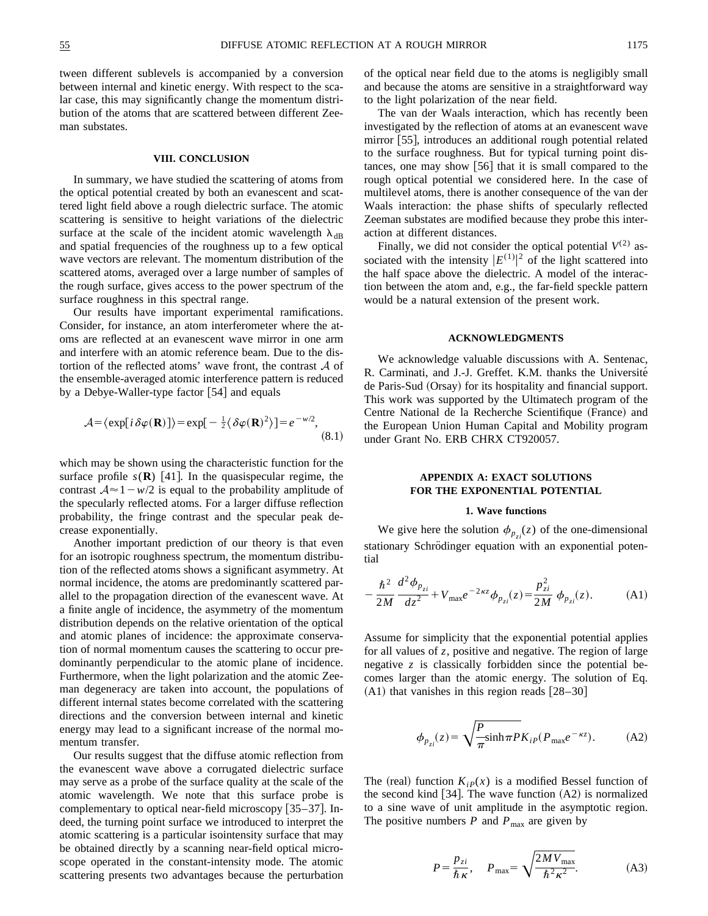tween different sublevels is accompanied by a conversion between internal and kinetic energy. With respect to the scalar case, this may significantly change the momentum distribution of the atoms that are scattered between different Zeeman substates.

### **VIII. CONCLUSION**

In summary, we have studied the scattering of atoms from the optical potential created by both an evanescent and scattered light field above a rough dielectric surface. The atomic scattering is sensitive to height variations of the dielectric surface at the scale of the incident atomic wavelength  $\lambda_{dB}$ and spatial frequencies of the roughness up to a few optical wave vectors are relevant. The momentum distribution of the scattered atoms, averaged over a large number of samples of the rough surface, gives access to the power spectrum of the surface roughness in this spectral range.

Our results have important experimental ramifications. Consider, for instance, an atom interferometer where the atoms are reflected at an evanescent wave mirror in one arm and interfere with an atomic reference beam. Due to the distortion of the reflected atoms' wave front, the contrast A of the ensemble-averaged atomic interference pattern is reduced by a Debye-Waller-type factor  $[54]$  and equals

$$
\mathcal{A} = \langle \exp[i \,\delta\varphi(\mathbf{R})] \rangle = \exp[-\frac{1}{2} \langle \,\delta\varphi(\mathbf{R})^2 \rangle] = e^{-w/2},\tag{8.1}
$$

which may be shown using the characteristic function for the surface profile  $s(\mathbf{R})$  [41]. In the quasispecular regime, the contrast  $A \approx 1 - w/2$  is equal to the probability amplitude of the specularly reflected atoms. For a larger diffuse reflection probability, the fringe contrast and the specular peak decrease exponentially.

Another important prediction of our theory is that even for an isotropic roughness spectrum, the momentum distribution of the reflected atoms shows a significant asymmetry. At normal incidence, the atoms are predominantly scattered parallel to the propagation direction of the evanescent wave. At a finite angle of incidence, the asymmetry of the momentum distribution depends on the relative orientation of the optical and atomic planes of incidence: the approximate conservation of normal momentum causes the scattering to occur predominantly perpendicular to the atomic plane of incidence. Furthermore, when the light polarization and the atomic Zeeman degeneracy are taken into account, the populations of different internal states become correlated with the scattering directions and the conversion between internal and kinetic energy may lead to a significant increase of the normal momentum transfer.

Our results suggest that the diffuse atomic reflection from the evanescent wave above a corrugated dielectric surface may serve as a probe of the surface quality at the scale of the atomic wavelength. We note that this surface probe is complementary to optical near-field microscopy  $|35-37|$ . Indeed, the turning point surface we introduced to interpret the atomic scattering is a particular isointensity surface that may be obtained directly by a scanning near-field optical microscope operated in the constant-intensity mode. The atomic scattering presents two advantages because the perturbation of the optical near field due to the atoms is negligibly small and because the atoms are sensitive in a straightforward way to the light polarization of the near field.

The van der Waals interaction, which has recently been investigated by the reflection of atoms at an evanescent wave mirror  $[55]$ , introduces an additional rough potential related to the surface roughness. But for typical turning point distances, one may show  $[56]$  that it is small compared to the rough optical potential we considered here. In the case of multilevel atoms, there is another consequence of the van der Waals interaction: the phase shifts of specularly reflected Zeeman substates are modified because they probe this interaction at different distances.

Finally, we did not consider the optical potential  $V^{(2)}$  associated with the intensity  $|E^{(1)}|^2$  of the light scattered into the half space above the dielectric. A model of the interaction between the atom and, e.g., the far-field speckle pattern would be a natural extension of the present work.

#### **ACKNOWLEDGMENTS**

We acknowledge valuable discussions with A. Sentenac, R. Carminati, and J.-J. Greffet. K.M. thanks the Universite´ de Paris-Sud (Orsay) for its hospitality and financial support. This work was supported by the Ultimatech program of the Centre National de la Recherche Scientifique (France) and the European Union Human Capital and Mobility program under Grant No. ERB CHRX CT920057.

# **APPENDIX A: EXACT SOLUTIONS FOR THE EXPONENTIAL POTENTIAL**

#### **1. Wave functions**

We give here the solution  $\phi_{p_{zi}}(z)$  of the one-dimensional stationary Schrödinger equation with an exponential potential

$$
-\frac{\hbar^2}{2M}\frac{d^2\phi_{p_{zi}}}{dz^2} + V_{\text{max}}e^{-2\kappa z}\phi_{p_{zi}}(z) = \frac{p_{zi}^2}{2M}\phi_{p_{zi}}(z). \tag{A1}
$$

Assume for simplicity that the exponential potential applies for all values of *z*, positive and negative. The region of large negative *z* is classically forbidden since the potential becomes larger than the atomic energy. The solution of Eq.  $(A1)$  that vanishes in this region reads  $[28-30]$ 

$$
\phi_{p_{zi}}(z) = \sqrt{\frac{P}{\pi}} \sinh \pi P K_{iP} (P_{\text{max}} e^{-\kappa z}). \tag{A2}
$$

The (real) function  $K_{iP}(x)$  is a modified Bessel function of the second kind  $[34]$ . The wave function  $(A2)$  is normalized to a sine wave of unit amplitude in the asymptotic region. The positive numbers  $P$  and  $P_{\text{max}}$  are given by

$$
P = \frac{p_{zi}}{\hbar \kappa}, \quad P_{\text{max}} = \sqrt{\frac{2MV_{\text{max}}}{\hbar^2 \kappa^2}}.
$$
 (A3)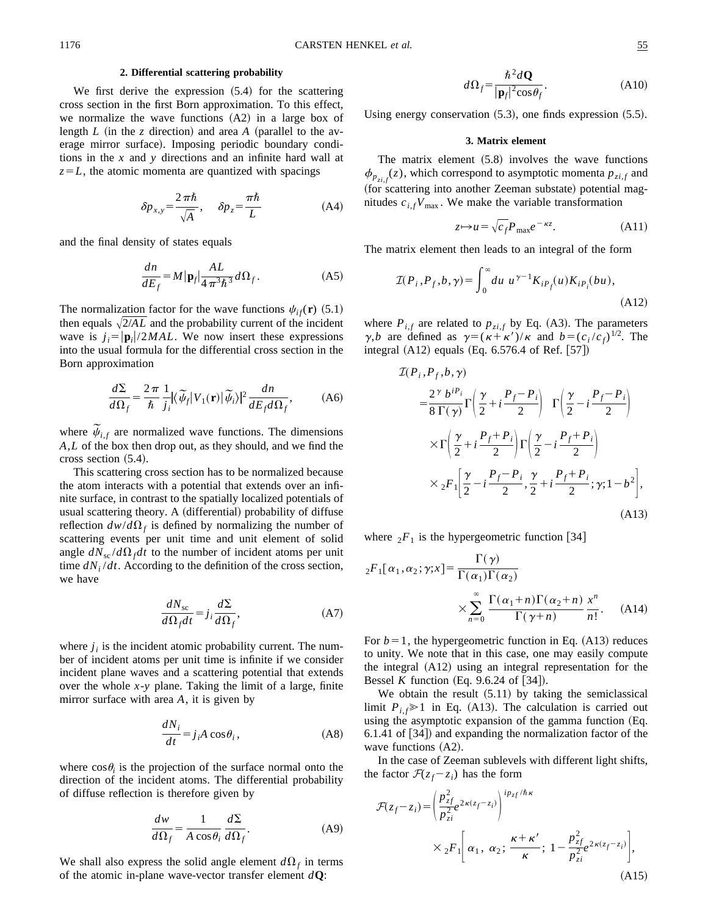### **2. Differential scattering probability**

We first derive the expression  $(5.4)$  for the scattering cross section in the first Born approximation. To this effect, we normalize the wave functions  $(A2)$  in a large box of length  $L$  (in the  $\zeta$  direction) and area  $A$  (parallel to the average mirror surface). Imposing periodic boundary conditions in the *x* and *y* directions and an infinite hard wall at  $z=L$ , the atomic momenta are quantized with spacings

$$
\delta p_{x,y} = \frac{2\,\pi\hbar}{\sqrt{A}}, \quad \delta p_z = \frac{\pi\hbar}{L} \tag{A4}
$$

and the final density of states equals

$$
\frac{dn}{dE_f} = M|\mathbf{p}_f| \frac{AL}{4\pi^3\hbar^3} d\Omega_f.
$$
 (A5)

The normalization factor for the wave functions  $\psi_{if}(\mathbf{r})$  (5.1) then equals  $\sqrt{2}/AL$  and the probability current of the incident wave is  $j_i = |\mathbf{p}_i|/2MAL$ . We now insert these expressions into the usual formula for the differential cross section in the Born approximation

$$
\frac{d\Sigma}{d\Omega_f} = \frac{2\pi}{\hbar} \frac{1}{j_i} |\langle \tilde{\psi}_f | V_1(\mathbf{r}) | \tilde{\psi}_i \rangle|^2 \frac{dn}{dE_f d\Omega_f},
$$
 (A6)

where  $\widetilde{\psi}_{i,f}$  are normalized wave functions. The dimensions *A*,*L* of the box then drop out, as they should, and we find the cross section  $(5.4)$ .

This scattering cross section has to be normalized because the atom interacts with a potential that extends over an infinite surface, in contrast to the spatially localized potentials of usual scattering theory. A (differential) probability of diffuse reflection  $dw/d\Omega_f$  is defined by normalizing the number of scattering events per unit time and unit element of solid angle  $dN_{sc}/d\Omega_f dt$  to the number of incident atoms per unit time  $dN_i/dt$ . According to the definition of the cross section, we have

$$
\frac{dN_{\rm sc}}{d\Omega_f dt} = j_i \frac{d\Sigma}{d\Omega_f},\tag{A7}
$$

where  $j_i$  is the incident atomic probability current. The number of incident atoms per unit time is infinite if we consider incident plane waves and a scattering potential that extends over the whole *x*-*y* plane. Taking the limit of a large, finite mirror surface with area *A*, it is given by

$$
\frac{dN_i}{dt} = j_i A \cos \theta_i, \qquad (A8)
$$

where  $\cos\theta_i$  is the projection of the surface normal onto the direction of the incident atoms. The differential probability of diffuse reflection is therefore given by

$$
\frac{dw}{d\Omega_f} = \frac{1}{A\cos\theta_i} \frac{d\Sigma}{d\Omega_f}.
$$
 (A9)

We shall also express the solid angle element  $d\Omega_f$  in terms of the atomic in-plane wave-vector transfer element *d***Q**:

$$
d\Omega_f = \frac{\hbar^2 d\mathbf{Q}}{|\mathbf{p}_f|^2 \cos \theta_f}.
$$
 (A10)

Using energy conservation  $(5.3)$ , one finds expression  $(5.5)$ .

## **3. Matrix element**

The matrix element  $(5.8)$  involves the wave functions  $\phi_{p_{zi,f}}(z)$ , which correspond to asymptotic momenta  $p_{zi,f}$  and (for scattering into another Zeeman substate) potential magnitudes  $c_{i,f}V_{\text{max}}$ . We make the variable transformation

$$
z \mapsto u = \sqrt{c_f} P_{\text{max}} e^{-\kappa z}.
$$
 (A11)

The matrix element then leads to an integral of the form

$$
\mathcal{I}(P_i, P_f, b, \gamma) = \int_0^\infty du \ u^{\gamma - 1} K_{i P_f}(u) K_{i P_i}(bu),
$$
\n(A12)

where  $P_{i,f}$  are related to  $p_{zi,f}$  by Eq. (A3). The parameters  $\gamma$ ,*b* are defined as  $\gamma = (\kappa + \kappa')/\kappa$  and  $b = (c_i/c_f)^{1/2}$ . The integral  $(A12)$  equals  $(Eq. 6.576.4$  of Ref.  $[57]$ )

$$
\mathcal{I}(P_i, P_f, b, \gamma)
$$
\n
$$
= \frac{2^{\gamma} b^{i P_i}}{8 \Gamma(\gamma)} \Gamma\left(\frac{\gamma}{2} + i \frac{P_f - P_i}{2}\right) \Gamma\left(\frac{\gamma}{2} - i \frac{P_f - P_i}{2}\right)
$$
\n
$$
\times \Gamma\left(\frac{\gamma}{2} + i \frac{P_f + P_i}{2}\right) \Gamma\left(\frac{\gamma}{2} - i \frac{P_f + P_i}{2}\right)
$$
\n
$$
\times {}_2F_1\left[\frac{\gamma}{2} - i \frac{P_f - P_i}{2}, \frac{\gamma}{2} + i \frac{P_f + P_i}{2}; \gamma; 1 - b^2\right],
$$
\n(A13)

where  ${}_2F_1$  is the hypergeometric function [34]

$$
{}_{2}F_{1}[\alpha_{1}, \alpha_{2}; \gamma; x] = \frac{\Gamma(\gamma)}{\Gamma(\alpha_{1})\Gamma(\alpha_{2})}
$$

$$
\times \sum_{n=0}^{\infty} \frac{\Gamma(\alpha_{1}+n)\Gamma(\alpha_{2}+n)}{\Gamma(\gamma+n)} \frac{x^{n}}{n!}.
$$
 (A14)

For  $b=1$ , the hypergeometric function in Eq.  $(A13)$  reduces to unity. We note that in this case, one may easily compute the integral  $(A12)$  using an integral representation for the Bessel *K* function (Eq. 9.6.24 of  $\lceil 34 \rceil$ ).

We obtain the result  $(5.11)$  by taking the semiclassical limit  $P_{i,f} \geq 1$  in Eq. (A13). The calculation is carried out using the asymptotic expansion of the gamma function (Eq. 6.1.41 of  $[34]$  and expanding the normalization factor of the wave functions  $(A2)$ .

In the case of Zeeman sublevels with different light shifts, the factor  $\mathcal{F}(z_f - z_i)$  has the form

$$
\mathcal{F}(z_f - z_i) = \left(\frac{p_{z_f}^2}{p_{zi}^2} e^{2\kappa(z_f - z_i)}\right)^{ip_{z_f}/\hbar\kappa}
$$
\n
$$
\times {}_2F_1\left[\alpha_1, \alpha_2; \frac{\kappa + \kappa'}{\kappa}; 1 - \frac{p_{z_f}^2}{p_{zi}^2} e^{2\kappa(z_f - z_i)}\right],
$$
\n(A15)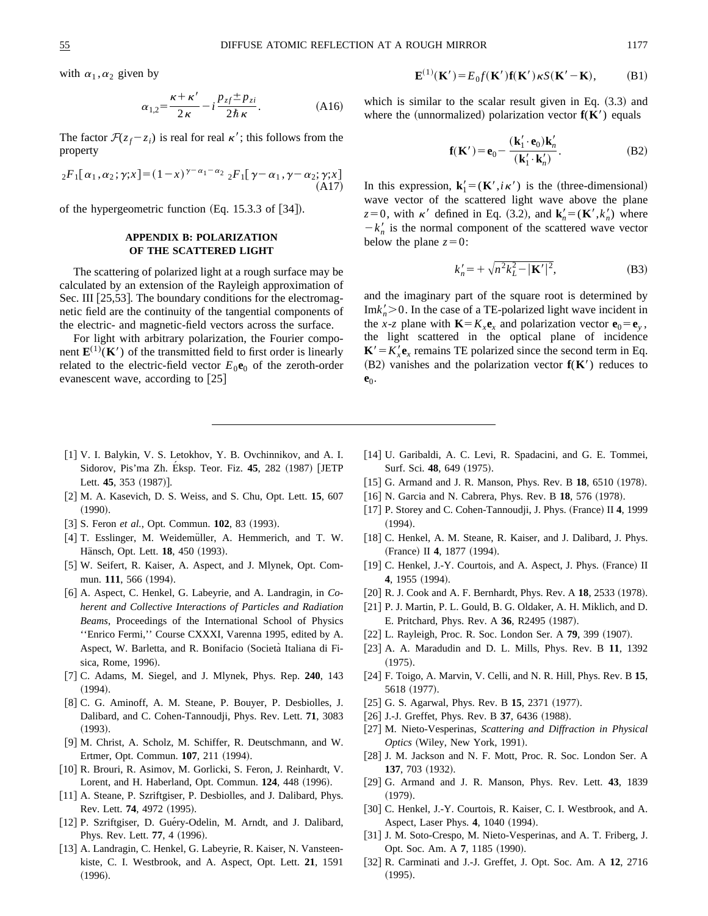with  $\alpha_1, \alpha_2$  given by

$$
\alpha_{1,2} = \frac{\kappa + \kappa'}{2\kappa} - i \frac{p_{zf} \pm p_{zi}}{2\hbar \kappa}.
$$
 (A16)

The factor  $\mathcal{F}(z_f - z_i)$  is real for real  $\kappa'$ ; this follows from the property

$$
{}_{2}F_{1}[\alpha_{1}, \alpha_{2}; \gamma; x] = (1 - x)^{\gamma - \alpha_{1} - \alpha_{2}} {}_{2}F_{1}[\gamma - \alpha_{1}, \gamma - \alpha_{2}; \gamma; x]
$$
\n(A17)

of the hypergeometric function  $(Eq. 15.3.3$  of  $[34]$ ).

# **APPENDIX B: POLARIZATION OF THE SCATTERED LIGHT**

The scattering of polarized light at a rough surface may be calculated by an extension of the Rayleigh approximation of Sec. III  $[25,53]$ . The boundary conditions for the electromagnetic field are the continuity of the tangential components of the electric- and magnetic-field vectors across the surface.

For light with arbitrary polarization, the Fourier component  $\mathbf{E}^{(1)}(\mathbf{K}')$  of the transmitted field to first order is linearly related to the electric-field vector  $E_0$ **e**<sub>0</sub> of the zeroth-order evanescent wave, according to  $[25]$ 

$$
\mathbf{E}^{(1)}(\mathbf{K}') = E_0 f(\mathbf{K}') \mathbf{f}(\mathbf{K}') \kappa S(\mathbf{K}' - \mathbf{K}),
$$
 (B1)

which is similar to the scalar result given in Eq.  $(3.3)$  and where the (unnormalized) polarization vector  $f(K')$  equals

$$
\mathbf{f}(\mathbf{K}') = \mathbf{e}_0 - \frac{(\mathbf{k}'_1 \cdot \mathbf{e}_0) \mathbf{k}'_n}{(\mathbf{k}'_1 \cdot \mathbf{k}'_n)}.
$$
 (B2)

In this expression,  $\mathbf{k}'_1 = (\mathbf{K}', i\kappa')$  is the (three-dimensional) wave vector of the scattered light wave above the plane  $z=0$ , with  $\kappa'$  defined in Eq. (3.2), and  $\mathbf{k}'_n = (\mathbf{K}', k'_n)$  where  $-k_n$  is the normal component of the scattered wave vector below the plane  $z=0$ :

$$
k'_{n} = +\sqrt{n^{2}k_{L}^{2} - |\mathbf{K}'|^{2}},
$$
 (B3)

and the imaginary part of the square root is determined by  $\text{Im}k'_n > 0$ . In the case of a TE-polarized light wave incident in the *x*-*z* plane with  $\mathbf{K} = K_x \mathbf{e}_x$  and polarization vector  $\mathbf{e}_0 = \mathbf{e}_y$ , the light scattered in the optical plane of incidence  $\mathbf{K}' = K'_x \mathbf{e}_x$  remains TE polarized since the second term in Eq.  $(B2)$  vanishes and the polarization vector  $f(K')$  reduces to  $e_0$ .

- [1] V. I. Balykin, V. S. Letokhov, Y. B. Ovchinnikov, and A. I. Sidorov, Pis'ma Zh. Eksp. Teor. Fiz. 45, 282 (1987) [JETP Lett. 45, 353 (1987)].
- @2# M. A. Kasevich, D. S. Weiss, and S. Chu, Opt. Lett. **15**, 607  $(1990).$
- [3] S. Feron *et al.*, Opt. Commun. **102**, 83 (1993).
- [4] T. Esslinger, M. Weidemüller, A. Hemmerich, and T. W. Hänsch, Opt. Lett. **18**, 450 (1993).
- [5] W. Seifert, R. Kaiser, A. Aspect, and J. Mlynek, Opt. Commun. 111, 566 (1994).
- [6] A. Aspect, C. Henkel, G. Labeyrie, and A. Landragin, in *Coherent and Collective Interactions of Particles and Radiation Beams*, Proceedings of the International School of Physics ''Enrico Fermi,'' Course CXXXI, Varenna 1995, edited by A. Aspect, W. Barletta, and R. Bonifacio (Società Italiana di Fisica, Rome, 1996).
- @7# C. Adams, M. Siegel, and J. Mlynek, Phys. Rep. **240**, 143  $(1994).$
- [8] C. G. Aminoff, A. M. Steane, P. Bouyer, P. Desbiolles, J. Dalibard, and C. Cohen-Tannoudji, Phys. Rev. Lett. **71**, 3083  $(1993).$
- [9] M. Christ, A. Scholz, M. Schiffer, R. Deutschmann, and W. Ertmer, Opt. Commun. **107**, 211 (1994).
- [10] R. Brouri, R. Asimov, M. Gorlicki, S. Feron, J. Reinhardt, V. Lorent, and H. Haberland, Opt. Commun. 124, 448 (1996).
- [11] A. Steane, P. Szriftgiser, P. Desbiolles, and J. Dalibard, Phys. Rev. Lett. **74**, 4972 (1995).
- [12] P. Szriftgiser, D. Guéry-Odelin, M. Arndt, and J. Dalibard, Phys. Rev. Lett. **77**, 4 (1996).
- [13] A. Landragin, C. Henkel, G. Labeyrie, R. Kaiser, N. Vansteenkiste, C. I. Westbrook, and A. Aspect, Opt. Lett. **21**, 1591  $(1996).$
- [14] U. Garibaldi, A. C. Levi, R. Spadacini, and G. E. Tommei, Surf. Sci. 48, 649 (1975).
- [15] G. Armand and J. R. Manson, Phys. Rev. B 18, 6510 (1978).
- [16] N. Garcia and N. Cabrera, Phys. Rev. B **18**, 576 (1978).
- [17] P. Storey and C. Cohen-Tannoudji, J. Phys. (France) II 4, 1999  $(1994).$
- [18] C. Henkel, A. M. Steane, R. Kaiser, and J. Dalibard, J. Phys. (France) II **4**, 1877 (1994).
- [19] C. Henkel, J.-Y. Courtois, and A. Aspect, J. Phys. (France) II **4**, 1955 (1994).
- [20] R. J. Cook and A. F. Bernhardt, Phys. Rev. A 18, 2533 (1978).
- [21] P. J. Martin, P. L. Gould, B. G. Oldaker, A. H. Miklich, and D. E. Pritchard, Phys. Rev. A 36, R2495 (1987).
- [22] L. Rayleigh, Proc. R. Soc. London Ser. A **79**, 399 (1907).
- [23] A. A. Maradudin and D. L. Mills, Phys. Rev. B 11, 1392  $(1975).$
- @24# F. Toigo, A. Marvin, V. Celli, and N. R. Hill, Phys. Rev. B **15**, 5618 (1977).
- [25] G. S. Agarwal, Phys. Rev. B 15, 2371 (1977).
- $[26]$  J.-J. Greffet, Phys. Rev. B 37, 6436  $(1988)$ .
- [27] M. Nieto-Vesperinas, *Scattering and Diffraction in Physical* Optics (Wiley, New York, 1991).
- [28] J. M. Jackson and N. F. Mott, Proc. R. Soc. London Ser. A **137**, 703 (1932).
- [29] G. Armand and J. R. Manson, Phys. Rev. Lett. **43**, 1839  $(1979).$
- [30] C. Henkel, J.-Y. Courtois, R. Kaiser, C. I. Westbrook, and A. Aspect, Laser Phys. 4, 1040 (1994).
- [31] J. M. Soto-Crespo, M. Nieto-Vesperinas, and A. T. Friberg, J. Opt. Soc. Am. A 7, 1185 (1990).
- [32] R. Carminati and J.-J. Greffet, J. Opt. Soc. Am. A 12, 2716  $(1995).$